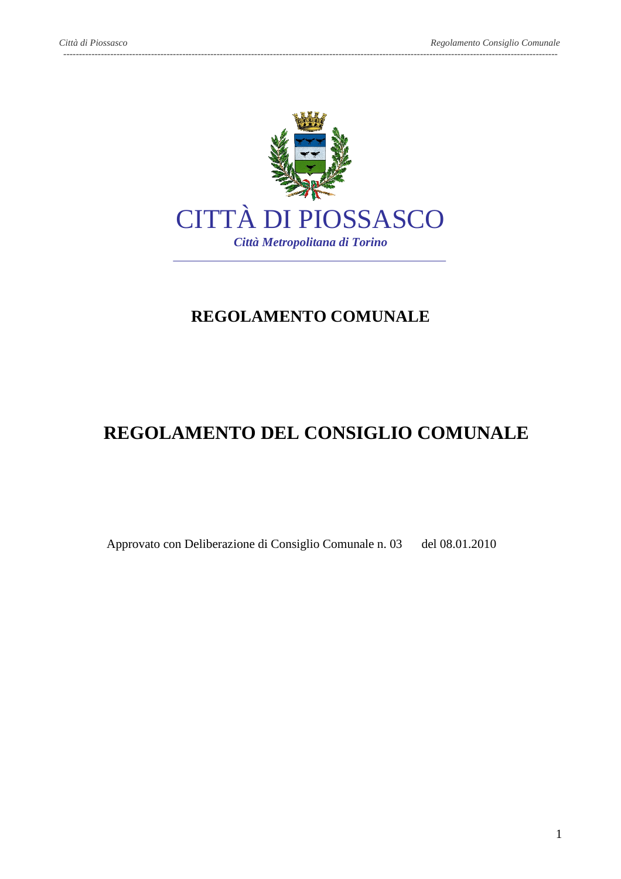

*--------------------------------------------------------------------------------------------------------------------------------------------------------------*

# **REGOLAMENTO COMUNALE**

# **REGOLAMENTO DEL CONSIGLIO COMUNALE**

Approvato con Deliberazione di Consiglio Comunale n. 03 del 08.01.2010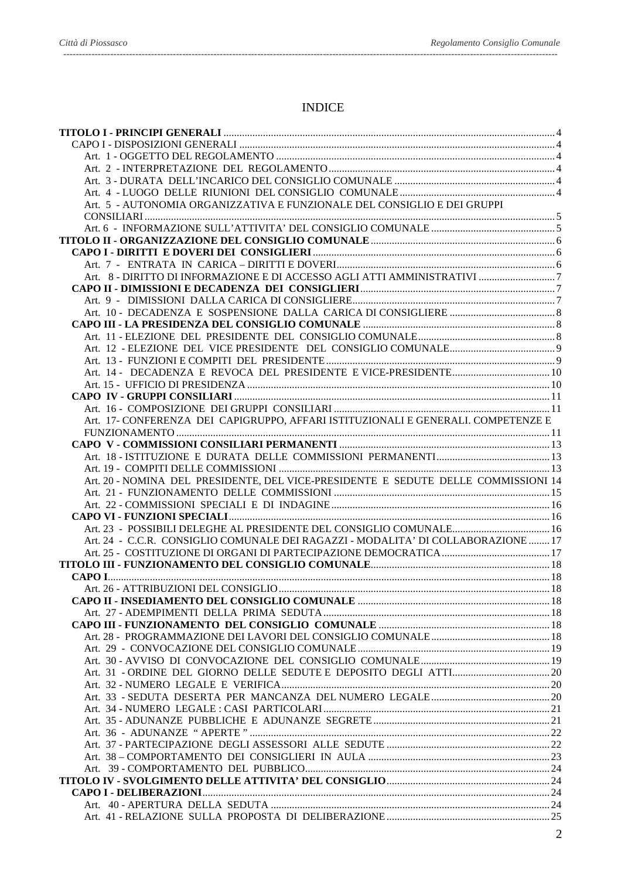### INDICE

*--------------------------------------------------------------------------------------------------------------------------------------------------------------*

| Art. 5 - AUTONOMIA ORGANIZZATIVA E FUNZIONALE DEL CONSIGLIO E DEI GRUPPI           |  |
|------------------------------------------------------------------------------------|--|
|                                                                                    |  |
|                                                                                    |  |
|                                                                                    |  |
|                                                                                    |  |
|                                                                                    |  |
|                                                                                    |  |
|                                                                                    |  |
|                                                                                    |  |
|                                                                                    |  |
|                                                                                    |  |
|                                                                                    |  |
|                                                                                    |  |
|                                                                                    |  |
|                                                                                    |  |
|                                                                                    |  |
|                                                                                    |  |
|                                                                                    |  |
| Art. 17- CONFERENZA DEI CAPIGRUPPO, AFFARI ISTITUZIONALI E GENERALI. COMPETENZE E  |  |
|                                                                                    |  |
|                                                                                    |  |
|                                                                                    |  |
|                                                                                    |  |
| Art. 20 - NOMINA DEL PRESIDENTE, DEL VICE-PRESIDENTE E SEDUTE DELLE COMMISSIONI 14 |  |
|                                                                                    |  |
|                                                                                    |  |
|                                                                                    |  |
| Art. 23 - POSSIBILI DELEGHE AL PRESIDENTE DEL CONSIGLIO COMUNALE 16                |  |
| Art. 24 - C.C.R. CONSIGLIO COMUNALE DEI RAGAZZI - MODALITA' DI COLLABORAZIONE  17  |  |
|                                                                                    |  |
|                                                                                    |  |
|                                                                                    |  |
|                                                                                    |  |
|                                                                                    |  |
|                                                                                    |  |
|                                                                                    |  |
|                                                                                    |  |
|                                                                                    |  |
|                                                                                    |  |
|                                                                                    |  |
|                                                                                    |  |
|                                                                                    |  |
|                                                                                    |  |
|                                                                                    |  |
|                                                                                    |  |
|                                                                                    |  |
|                                                                                    |  |
|                                                                                    |  |
|                                                                                    |  |
|                                                                                    |  |
|                                                                                    |  |
|                                                                                    |  |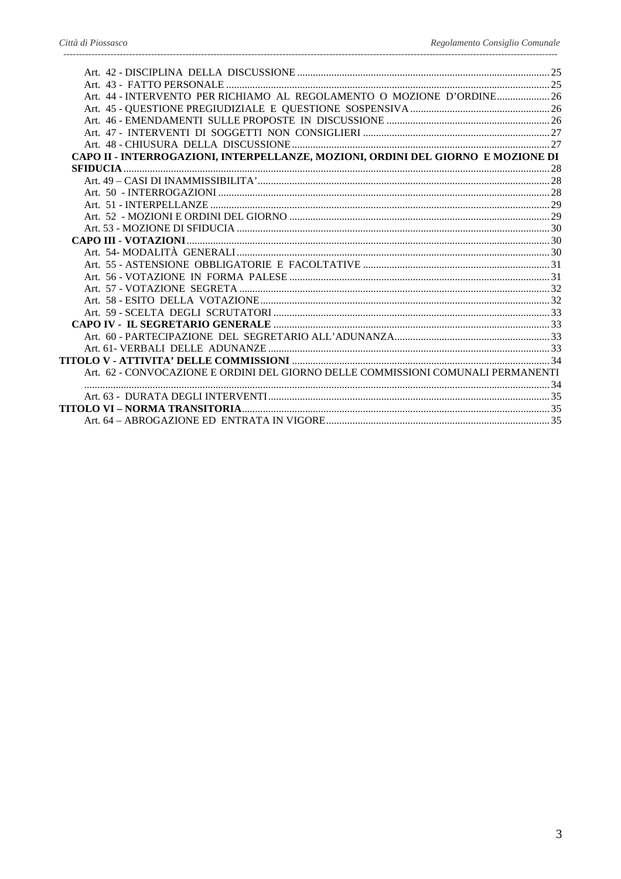| Art. 44 - INTERVENTO PER RICHIAMO AL REGOLAMENTO O MOZIONE D'ORDINE 26           |  |
|----------------------------------------------------------------------------------|--|
|                                                                                  |  |
|                                                                                  |  |
|                                                                                  |  |
|                                                                                  |  |
| CAPO II - INTERROGAZIONI, INTERPELLANZE, MOZIONI, ORDINI DEL GIORNO E MOZIONE DI |  |
|                                                                                  |  |
|                                                                                  |  |
|                                                                                  |  |
|                                                                                  |  |
|                                                                                  |  |
|                                                                                  |  |
|                                                                                  |  |
|                                                                                  |  |
|                                                                                  |  |
|                                                                                  |  |
|                                                                                  |  |
|                                                                                  |  |
|                                                                                  |  |
|                                                                                  |  |
|                                                                                  |  |
|                                                                                  |  |
|                                                                                  |  |
| Art. 62 - CONVOCAZIONE E ORDINI DEL GIORNO DELLE COMMISSIONI COMUNALI PERMANENTI |  |
|                                                                                  |  |
|                                                                                  |  |
|                                                                                  |  |
|                                                                                  |  |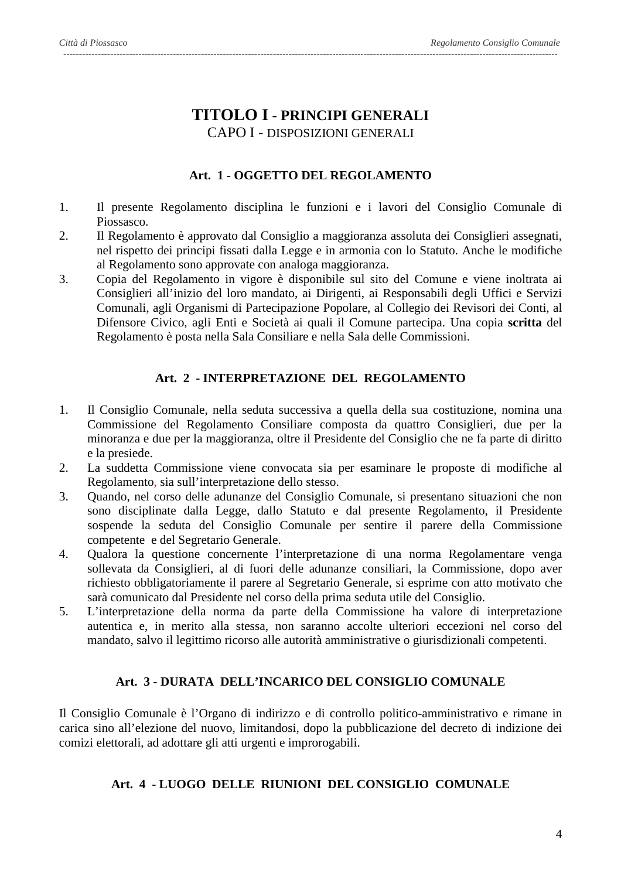# **TITOLO I - PRINCIPI GENERALI** CAPO I - DISPOSIZIONI GENERALI

*--------------------------------------------------------------------------------------------------------------------------------------------------------------*

### **Art. 1 - OGGETTO DEL REGOLAMENTO**

- 1. Il presente Regolamento disciplina le funzioni e i lavori del Consiglio Comunale di Piossasco.
- 2. Il Regolamento è approvato dal Consiglio a maggioranza assoluta dei Consiglieri assegnati, nel rispetto dei principi fissati dalla Legge e in armonia con lo Statuto. Anche le modifiche al Regolamento sono approvate con analoga maggioranza.
- 3. Copia del Regolamento in vigore è disponibile sul sito del Comune e viene inoltrata ai Consiglieri all'inizio del loro mandato, ai Dirigenti, ai Responsabili degli Uffici e Servizi Comunali, agli Organismi di Partecipazione Popolare, al Collegio dei Revisori dei Conti, al Difensore Civico, agli Enti e Società ai quali il Comune partecipa. Una copia **scritta** del Regolamento è posta nella Sala Consiliare e nella Sala delle Commissioni.

#### **Art. 2 - INTERPRETAZIONE DEL REGOLAMENTO**

- 1. Il Consiglio Comunale, nella seduta successiva a quella della sua costituzione, nomina una Commissione del Regolamento Consiliare composta da quattro Consiglieri, due per la minoranza e due per la maggioranza, oltre il Presidente del Consiglio che ne fa parte di diritto e la presiede.
- 2. La suddetta Commissione viene convocata sia per esaminare le proposte di modifiche al Regolamento, sia sull'interpretazione dello stesso.
- 3. Quando, nel corso delle adunanze del Consiglio Comunale, si presentano situazioni che non sono disciplinate dalla Legge, dallo Statuto e dal presente Regolamento, il Presidente sospende la seduta del Consiglio Comunale per sentire il parere della Commissione competente e del Segretario Generale.
- 4. Qualora la questione concernente l'interpretazione di una norma Regolamentare venga sollevata da Consiglieri, al di fuori delle adunanze consiliari, la Commissione, dopo aver richiesto obbligatoriamente il parere al Segretario Generale, si esprime con atto motivato che sarà comunicato dal Presidente nel corso della prima seduta utile del Consiglio.
- 5. L'interpretazione della norma da parte della Commissione ha valore di interpretazione autentica e, in merito alla stessa, non saranno accolte ulteriori eccezioni nel corso del mandato, salvo il legittimo ricorso alle autorità amministrative o giurisdizionali competenti.

#### **Art. 3 - DURATA DELL'INCARICO DEL CONSIGLIO COMUNALE**

Il Consiglio Comunale è l'Organo di indirizzo e di controllo politico-amministrativo e rimane in carica sino all'elezione del nuovo, limitandosi, dopo la pubblicazione del decreto di indizione dei comizi elettorali, ad adottare gli atti urgenti e improrogabili.

#### **Art. 4 - LUOGO DELLE RIUNIONI DEL CONSIGLIO COMUNALE**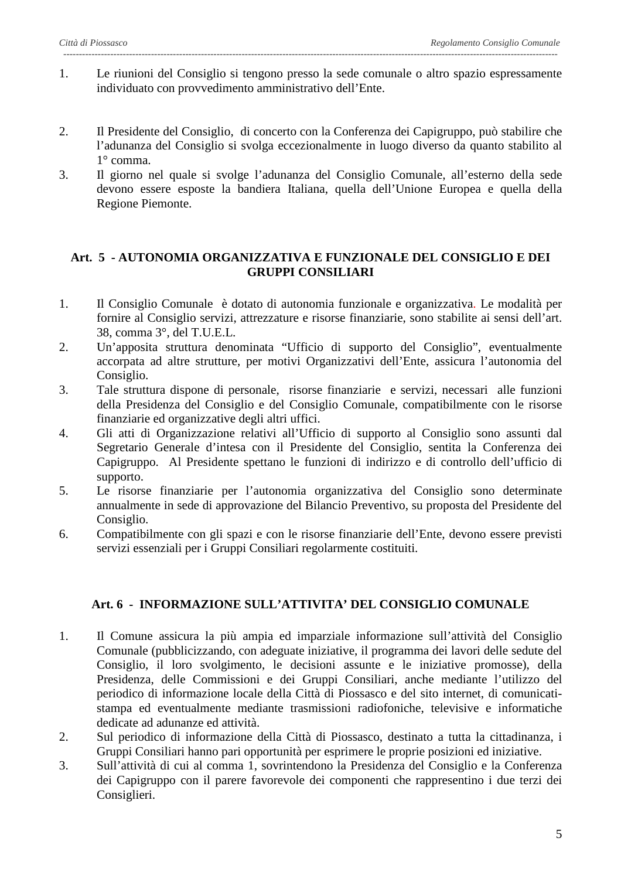1. Le riunioni del Consiglio si tengono presso la sede comunale o altro spazio espressamente individuato con provvedimento amministrativo dell'Ente.

*--------------------------------------------------------------------------------------------------------------------------------------------------------------*

- 2. Il Presidente del Consiglio, di concerto con la Conferenza dei Capigruppo, può stabilire che l'adunanza del Consiglio si svolga eccezionalmente in luogo diverso da quanto stabilito al 1° comma.
- 3. Il giorno nel quale si svolge l'adunanza del Consiglio Comunale, all'esterno della sede devono essere esposte la bandiera Italiana, quella dell'Unione Europea e quella della Regione Piemonte.

#### **Art. 5 - AUTONOMIA ORGANIZZATIVA E FUNZIONALE DEL CONSIGLIO E DEI GRUPPI CONSILIARI**

- 1. Il Consiglio Comunale è dotato di autonomia funzionale e organizzativa. Le modalità per fornire al Consiglio servizi, attrezzature e risorse finanziarie, sono stabilite ai sensi dell'art. 38, comma 3°, del T.U.E.L.
- 2. Un'apposita struttura denominata "Ufficio di supporto del Consiglio", eventualmente accorpata ad altre strutture, per motivi Organizzativi dell'Ente, assicura l'autonomia del Consiglio.
- 3. Tale struttura dispone di personale, risorse finanziarie e servizi, necessari alle funzioni della Presidenza del Consiglio e del Consiglio Comunale, compatibilmente con le risorse finanziarie ed organizzative degli altri uffici.
- 4. Gli atti di Organizzazione relativi all'Ufficio di supporto al Consiglio sono assunti dal Segretario Generale d'intesa con il Presidente del Consiglio, sentita la Conferenza dei Capigruppo. Al Presidente spettano le funzioni di indirizzo e di controllo dell'ufficio di supporto.
- 5. Le risorse finanziarie per l'autonomia organizzativa del Consiglio sono determinate annualmente in sede di approvazione del Bilancio Preventivo, su proposta del Presidente del Consiglio.
- 6. Compatibilmente con gli spazi e con le risorse finanziarie dell'Ente, devono essere previsti servizi essenziali per i Gruppi Consiliari regolarmente costituiti.

#### **Art. 6 - INFORMAZIONE SULL'ATTIVITA' DEL CONSIGLIO COMUNALE**

- 1. Il Comune assicura la più ampia ed imparziale informazione sull'attività del Consiglio Comunale (pubblicizzando, con adeguate iniziative, il programma dei lavori delle sedute del Consiglio, il loro svolgimento, le decisioni assunte e le iniziative promosse), della Presidenza, delle Commissioni e dei Gruppi Consiliari, anche mediante l'utilizzo del periodico di informazione locale della Città di Piossasco e del sito internet, di comunicatistampa ed eventualmente mediante trasmissioni radiofoniche, televisive e informatiche dedicate ad adunanze ed attività.
- 2. Sul periodico di informazione della Città di Piossasco, destinato a tutta la cittadinanza, i Gruppi Consiliari hanno pari opportunità per esprimere le proprie posizioni ed iniziative.
- 3. Sull'attività di cui al comma 1, sovrintendono la Presidenza del Consiglio e la Conferenza dei Capigruppo con il parere favorevole dei componenti che rappresentino i due terzi dei Consiglieri.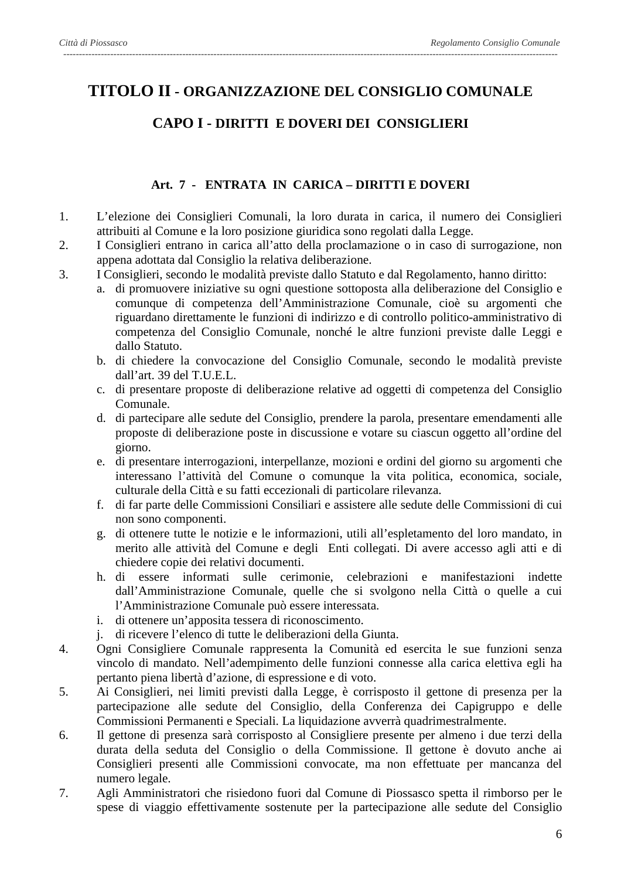# **TITOLO II - ORGANIZZAZIONE DEL CONSIGLIO COMUNALE**

*--------------------------------------------------------------------------------------------------------------------------------------------------------------*

# **CAPO I - DIRITTI E DOVERI DEI CONSIGLIERI**

# **Art. 7 - ENTRATA IN CARICA – DIRITTI E DOVERI**

- 1. L'elezione dei Consiglieri Comunali, la loro durata in carica, il numero dei Consiglieri attribuiti al Comune e la loro posizione giuridica sono regolati dalla Legge.
- 2. I Consiglieri entrano in carica all'atto della proclamazione o in caso di surrogazione, non appena adottata dal Consiglio la relativa deliberazione.
- 3. I Consiglieri, secondo le modalità previste dallo Statuto e dal Regolamento, hanno diritto:
	- a. di promuovere iniziative su ogni questione sottoposta alla deliberazione del Consiglio e comunque di competenza dell'Amministrazione Comunale, cioè su argomenti che riguardano direttamente le funzioni di indirizzo e di controllo politico-amministrativo di competenza del Consiglio Comunale, nonché le altre funzioni previste dalle Leggi e dallo Statuto.
	- b. di chiedere la convocazione del Consiglio Comunale, secondo le modalità previste dall'art. 39 del T.U.E.L.
	- c. di presentare proposte di deliberazione relative ad oggetti di competenza del Consiglio Comunale.
	- d. di partecipare alle sedute del Consiglio, prendere la parola, presentare emendamenti alle proposte di deliberazione poste in discussione e votare su ciascun oggetto all'ordine del giorno.
	- e. di presentare interrogazioni, interpellanze, mozioni e ordini del giorno su argomenti che interessano l'attività del Comune o comunque la vita politica, economica, sociale, culturale della Città e su fatti eccezionali di particolare rilevanza.
	- f. di far parte delle Commissioni Consiliari e assistere alle sedute delle Commissioni di cui non sono componenti.
	- g. di ottenere tutte le notizie e le informazioni, utili all'espletamento del loro mandato, in merito alle attività del Comune e degli Enti collegati. Di avere accesso agli atti e di chiedere copie dei relativi documenti.
	- h. di essere informati sulle cerimonie, celebrazioni e manifestazioni indette dall'Amministrazione Comunale, quelle che si svolgono nella Città o quelle a cui l'Amministrazione Comunale può essere interessata.
	- i. di ottenere un'apposita tessera di riconoscimento.
	- j. di ricevere l'elenco di tutte le deliberazioni della Giunta.
- 4. Ogni Consigliere Comunale rappresenta la Comunità ed esercita le sue funzioni senza vincolo di mandato. Nell'adempimento delle funzioni connesse alla carica elettiva egli ha pertanto piena libertà d'azione, di espressione e di voto.
- 5. Ai Consiglieri, nei limiti previsti dalla Legge, è corrisposto il gettone di presenza per la partecipazione alle sedute del Consiglio, della Conferenza dei Capigruppo e delle Commissioni Permanenti e Speciali. La liquidazione avverrà quadrimestralmente.
- 6. Il gettone di presenza sarà corrisposto al Consigliere presente per almeno i due terzi della durata della seduta del Consiglio o della Commissione. Il gettone è dovuto anche ai Consiglieri presenti alle Commissioni convocate, ma non effettuate per mancanza del numero legale.
- 7. Agli Amministratori che risiedono fuori dal Comune di Piossasco spetta il rimborso per le spese di viaggio effettivamente sostenute per la partecipazione alle sedute del Consiglio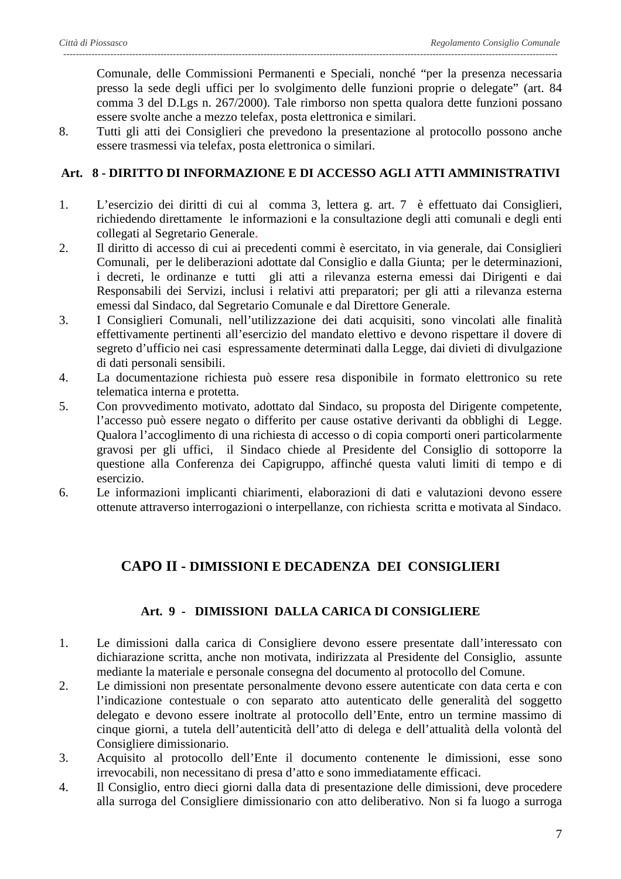Comunale, delle Commissioni Permanenti e Speciali, nonché "per la presenza necessaria presso la sede degli uffici per lo svolgimento delle funzioni proprie o delegate" (art. 84 comma 3 del D.Lgs n. 267/2000). Tale rimborso non spetta qualora dette funzioni possano essere svolte anche a mezzo telefax, posta elettronica e similari.

8. Tutti gli atti dei Consiglieri che prevedono la presentazione al protocollo possono anche essere trasmessi via telefax, posta elettronica o similari.

*--------------------------------------------------------------------------------------------------------------------------------------------------------------*

#### **Art. 8 - DIRITTO DI INFORMAZIONE E DI ACCESSO AGLI ATTI AMMINISTRATIVI**

- 1. L'esercizio dei diritti di cui al comma 3, lettera g. art. 7 è effettuato dai Consiglieri, richiedendo direttamente le informazioni e la consultazione degli atti comunali e degli enti collegati al Segretario Generale.
- 2. Il diritto di accesso di cui ai precedenti commi è esercitato, in via generale, dai Consiglieri Comunali, per le deliberazioni adottate dal Consiglio e dalla Giunta; per le determinazioni, i decreti, le ordinanze e tutti gli atti a rilevanza esterna emessi dai Dirigenti e dai Responsabili dei Servizi, inclusi i relativi atti preparatori; per gli atti a rilevanza esterna emessi dal Sindaco, dal Segretario Comunale e dal Direttore Generale.
- 3. I Consiglieri Comunali, nell'utilizzazione dei dati acquisiti, sono vincolati alle finalità effettivamente pertinenti all'esercizio del mandato elettivo e devono rispettare il dovere di segreto d'ufficio nei casi espressamente determinati dalla Legge, dai divieti di divulgazione di dati personali sensibili.
- 4. La documentazione richiesta può essere resa disponibile in formato elettronico su rete telematica interna e protetta.
- 5. Con provvedimento motivato, adottato dal Sindaco, su proposta del Dirigente competente, l'accesso può essere negato o differito per cause ostative derivanti da obblighi di Legge. Qualora l'accoglimento di una richiesta di accesso o di copia comporti oneri particolarmente gravosi per gli uffici, il Sindaco chiede al Presidente del Consiglio di sottoporre la questione alla Conferenza dei Capigruppo, affinché questa valuti limiti di tempo e di esercizio.
- 6. Le informazioni implicanti chiarimenti, elaborazioni di dati e valutazioni devono essere ottenute attraverso interrogazioni o interpellanze, con richiesta scritta e motivata al Sindaco.

### **CAPO II - DIMISSIONI E DECADENZA DEI CONSIGLIERI**

#### **Art. 9 - DIMISSIONI DALLA CARICA DI CONSIGLIERE**

- 1. Le dimissioni dalla carica di Consigliere devono essere presentate dall'interessato con dichiarazione scritta, anche non motivata, indirizzata al Presidente del Consiglio, assunte mediante la materiale e personale consegna del documento al protocollo del Comune.
- 2. Le dimissioni non presentate personalmente devono essere autenticate con data certa e con l'indicazione contestuale o con separato atto autenticato delle generalità del soggetto delegato e devono essere inoltrate al protocollo dell'Ente, entro un termine massimo di cinque giorni, a tutela dell'autenticità dell'atto di delega e dell'attualità della volontà del Consigliere dimissionario.
- 3. Acquisito al protocollo dell'Ente il documento contenente le dimissioni, esse sono irrevocabili, non necessitano di presa d'atto e sono immediatamente efficaci.
- 4. Il Consiglio, entro dieci giorni dalla data di presentazione delle dimissioni, deve procedere alla surroga del Consigliere dimissionario con atto deliberativo. Non si fa luogo a surroga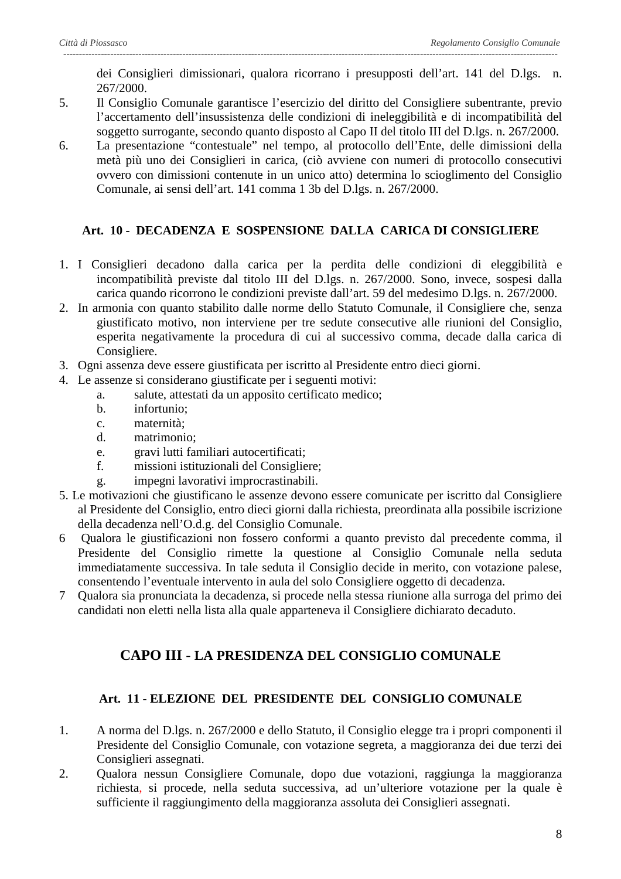dei Consiglieri dimissionari, qualora ricorrano i presupposti dell'art. 141 del D.lgs. n. 267/2000.

5. Il Consiglio Comunale garantisce l'esercizio del diritto del Consigliere subentrante, previo l'accertamento dell'insussistenza delle condizioni di ineleggibilità e di incompatibilità del soggetto surrogante, secondo quanto disposto al Capo II del titolo III del D.lgs. n. 267/2000.

*--------------------------------------------------------------------------------------------------------------------------------------------------------------*

6. La presentazione "contestuale" nel tempo, al protocollo dell'Ente, delle dimissioni della metà più uno dei Consiglieri in carica, (ciò avviene con numeri di protocollo consecutivi ovvero con dimissioni contenute in un unico atto) determina lo scioglimento del Consiglio Comunale, ai sensi dell'art. 141 comma 1 3b del D.lgs. n. 267/2000.

#### **Art. 10 - DECADENZA E SOSPENSIONE DALLA CARICA DI CONSIGLIERE**

- 1. I Consiglieri decadono dalla carica per la perdita delle condizioni di eleggibilità e incompatibilità previste dal titolo III del D.lgs. n. 267/2000. Sono, invece, sospesi dalla carica quando ricorrono le condizioni previste dall'art. 59 del medesimo D.lgs. n. 267/2000.
- 2. In armonia con quanto stabilito dalle norme dello Statuto Comunale, il Consigliere che, senza giustificato motivo, non interviene per tre sedute consecutive alle riunioni del Consiglio, esperita negativamente la procedura di cui al successivo comma, decade dalla carica di Consigliere.
- 3. Ogni assenza deve essere giustificata per iscritto al Presidente entro dieci giorni.
- 4. Le assenze si considerano giustificate per i seguenti motivi:
	- a. salute, attestati da un apposito certificato medico;
	- b. infortunio;
	- c. maternità;
	- d. matrimonio;
	- e. gravi lutti familiari autocertificati;
	- f. missioni istituzionali del Consigliere;
	- g. impegni lavorativi improcrastinabili.
- 5. Le motivazioni che giustificano le assenze devono essere comunicate per iscritto dal Consigliere al Presidente del Consiglio, entro dieci giorni dalla richiesta, preordinata alla possibile iscrizione della decadenza nell'O.d.g. del Consiglio Comunale.
- 6 Qualora le giustificazioni non fossero conformi a quanto previsto dal precedente comma, il Presidente del Consiglio rimette la questione al Consiglio Comunale nella seduta immediatamente successiva. In tale seduta il Consiglio decide in merito, con votazione palese, consentendo l'eventuale intervento in aula del solo Consigliere oggetto di decadenza.
- 7 Qualora sia pronunciata la decadenza, si procede nella stessa riunione alla surroga del primo dei candidati non eletti nella lista alla quale apparteneva il Consigliere dichiarato decaduto.

# **CAPO III - LA PRESIDENZA DEL CONSIGLIO COMUNALE**

#### **Art. 11 - ELEZIONE DEL PRESIDENTE DEL CONSIGLIO COMUNALE**

- 1. A norma del D.lgs. n. 267/2000 e dello Statuto, il Consiglio elegge tra i propri componenti il Presidente del Consiglio Comunale, con votazione segreta, a maggioranza dei due terzi dei Consiglieri assegnati.
- 2. Qualora nessun Consigliere Comunale, dopo due votazioni, raggiunga la maggioranza richiesta, si procede, nella seduta successiva, ad un'ulteriore votazione per la quale è sufficiente il raggiungimento della maggioranza assoluta dei Consiglieri assegnati.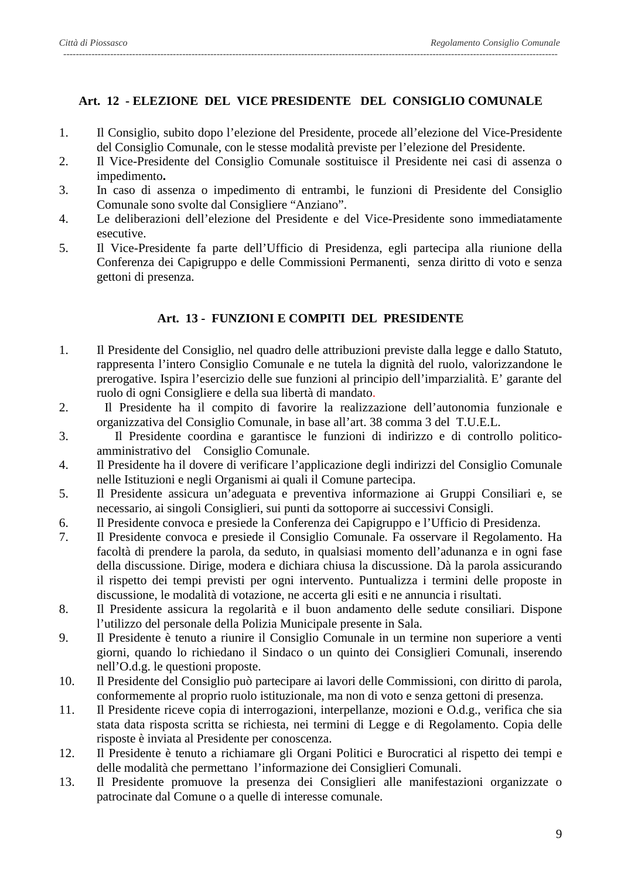# **Art. 12 - ELEZIONE DEL VICE PRESIDENTE DEL CONSIGLIO COMUNALE**

*--------------------------------------------------------------------------------------------------------------------------------------------------------------*

- 1. Il Consiglio, subito dopo l'elezione del Presidente, procede all'elezione del Vice-Presidente del Consiglio Comunale, con le stesse modalità previste per l'elezione del Presidente.
- 2. Il Vice-Presidente del Consiglio Comunale sostituisce il Presidente nei casi di assenza o impedimento**.**
- 3. In caso di assenza o impedimento di entrambi, le funzioni di Presidente del Consiglio Comunale sono svolte dal Consigliere "Anziano".
- 4. Le deliberazioni dell'elezione del Presidente e del Vice-Presidente sono immediatamente esecutive.
- 5. Il Vice-Presidente fa parte dell'Ufficio di Presidenza, egli partecipa alla riunione della Conferenza dei Capigruppo e delle Commissioni Permanenti, senza diritto di voto e senza gettoni di presenza.

### **Art. 13 - FUNZIONI E COMPITI DEL PRESIDENTE**

- 1. Il Presidente del Consiglio, nel quadro delle attribuzioni previste dalla legge e dallo Statuto, rappresenta l'intero Consiglio Comunale e ne tutela la dignità del ruolo, valorizzandone le prerogative. Ispira l'esercizio delle sue funzioni al principio dell'imparzialità. E' garante del ruolo di ogni Consigliere e della sua libertà di mandato.
- 2. Il Presidente ha il compito di favorire la realizzazione dell'autonomia funzionale e organizzativa del Consiglio Comunale, in base all'art. 38 comma 3 del T.U.E.L.
- 3. Il Presidente coordina e garantisce le funzioni di indirizzo e di controllo politicoamministrativo del Consiglio Comunale.
- 4. Il Presidente ha il dovere di verificare l'applicazione degli indirizzi del Consiglio Comunale nelle Istituzioni e negli Organismi ai quali il Comune partecipa.
- 5. Il Presidente assicura un'adeguata e preventiva informazione ai Gruppi Consiliari e, se necessario, ai singoli Consiglieri, sui punti da sottoporre ai successivi Consigli.
- 6. Il Presidente convoca e presiede la Conferenza dei Capigruppo e l'Ufficio di Presidenza.
- 7. Il Presidente convoca e presiede il Consiglio Comunale. Fa osservare il Regolamento. Ha facoltà di prendere la parola, da seduto, in qualsiasi momento dell'adunanza e in ogni fase della discussione. Dirige, modera e dichiara chiusa la discussione. Dà la parola assicurando il rispetto dei tempi previsti per ogni intervento. Puntualizza i termini delle proposte in discussione, le modalità di votazione, ne accerta gli esiti e ne annuncia i risultati.
- 8. Il Presidente assicura la regolarità e il buon andamento delle sedute consiliari. Dispone l'utilizzo del personale della Polizia Municipale presente in Sala.
- 9. Il Presidente è tenuto a riunire il Consiglio Comunale in un termine non superiore a venti giorni, quando lo richiedano il Sindaco o un quinto dei Consiglieri Comunali, inserendo nell'O.d.g. le questioni proposte.
- 10. Il Presidente del Consiglio può partecipare ai lavori delle Commissioni, con diritto di parola, conformemente al proprio ruolo istituzionale, ma non di voto e senza gettoni di presenza.
- 11. Il Presidente riceve copia di interrogazioni, interpellanze, mozioni e O.d.g., verifica che sia stata data risposta scritta se richiesta, nei termini di Legge e di Regolamento. Copia delle risposte è inviata al Presidente per conoscenza.
- 12. Il Presidente è tenuto a richiamare gli Organi Politici e Burocratici al rispetto dei tempi e delle modalità che permettano l'informazione dei Consiglieri Comunali.
- 13. Il Presidente promuove la presenza dei Consiglieri alle manifestazioni organizzate o patrocinate dal Comune o a quelle di interesse comunale.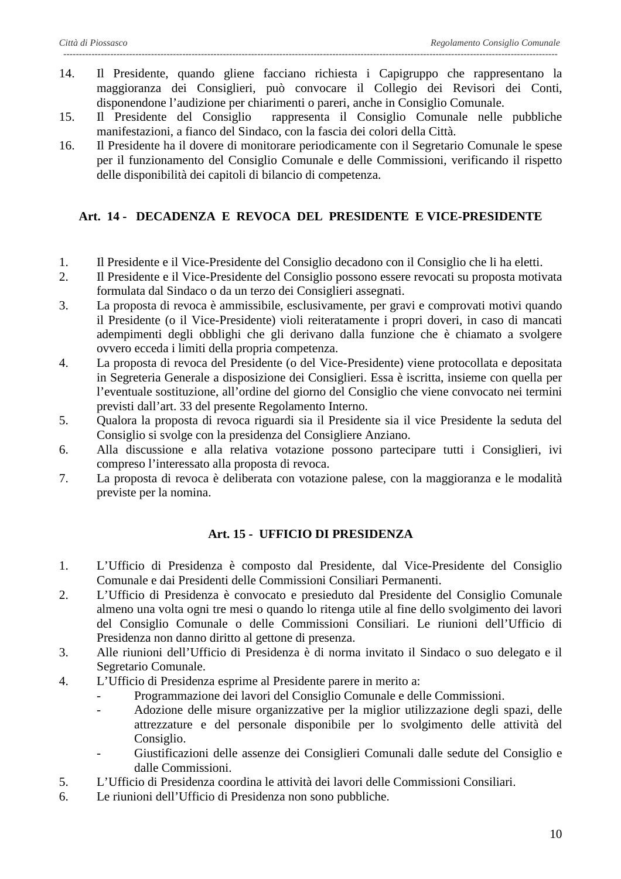14. Il Presidente, quando gliene facciano richiesta i Capigruppo che rappresentano la maggioranza dei Consiglieri, può convocare il Collegio dei Revisori dei Conti, disponendone l'audizione per chiarimenti o pareri, anche in Consiglio Comunale.

*--------------------------------------------------------------------------------------------------------------------------------------------------------------*

- 15. Il Presidente del Consiglio rappresenta il Consiglio Comunale nelle pubbliche manifestazioni, a fianco del Sindaco, con la fascia dei colori della Città.
- 16. Il Presidente ha il dovere di monitorare periodicamente con il Segretario Comunale le spese per il funzionamento del Consiglio Comunale e delle Commissioni, verificando il rispetto delle disponibilità dei capitoli di bilancio di competenza.

## **Art. 14 - DECADENZA E REVOCA DEL PRESIDENTE E VICE-PRESIDENTE**

- 1. Il Presidente e il Vice-Presidente del Consiglio decadono con il Consiglio che li ha eletti.
- 2. Il Presidente e il Vice-Presidente del Consiglio possono essere revocati su proposta motivata formulata dal Sindaco o da un terzo dei Consiglieri assegnati.
- 3. La proposta di revoca è ammissibile, esclusivamente, per gravi e comprovati motivi quando il Presidente (o il Vice-Presidente) violi reiteratamente i propri doveri, in caso di mancati adempimenti degli obblighi che gli derivano dalla funzione che è chiamato a svolgere ovvero ecceda i limiti della propria competenza.
- 4. La proposta di revoca del Presidente (o del Vice-Presidente) viene protocollata e depositata in Segreteria Generale a disposizione dei Consiglieri. Essa è iscritta, insieme con quella per l'eventuale sostituzione, all'ordine del giorno del Consiglio che viene convocato nei termini previsti dall'art. 33 del presente Regolamento Interno.
- 5. Qualora la proposta di revoca riguardi sia il Presidente sia il vice Presidente la seduta del Consiglio si svolge con la presidenza del Consigliere Anziano.
- 6. Alla discussione e alla relativa votazione possono partecipare tutti i Consiglieri, ivi compreso l'interessato alla proposta di revoca.
- 7. La proposta di revoca è deliberata con votazione palese, con la maggioranza e le modalità previste per la nomina.

#### **Art. 15 - UFFICIO DI PRESIDENZA**

- 1. L'Ufficio di Presidenza è composto dal Presidente, dal Vice-Presidente del Consiglio Comunale e dai Presidenti delle Commissioni Consiliari Permanenti.
- 2. L'Ufficio di Presidenza è convocato e presieduto dal Presidente del Consiglio Comunale almeno una volta ogni tre mesi o quando lo ritenga utile al fine dello svolgimento dei lavori del Consiglio Comunale o delle Commissioni Consiliari. Le riunioni dell'Ufficio di Presidenza non danno diritto al gettone di presenza.
- 3. Alle riunioni dell'Ufficio di Presidenza è di norma invitato il Sindaco o suo delegato e il Segretario Comunale.
- 4. L'Ufficio di Presidenza esprime al Presidente parere in merito a:
	- Programmazione dei lavori del Consiglio Comunale e delle Commissioni.
	- Adozione delle misure organizzative per la miglior utilizzazione degli spazi, delle attrezzature e del personale disponibile per lo svolgimento delle attività del Consiglio.
	- Giustificazioni delle assenze dei Consiglieri Comunali dalle sedute del Consiglio e dalle Commissioni.
- 5. L'Ufficio di Presidenza coordina le attività dei lavori delle Commissioni Consiliari.
- 6. Le riunioni dell'Ufficio di Presidenza non sono pubbliche.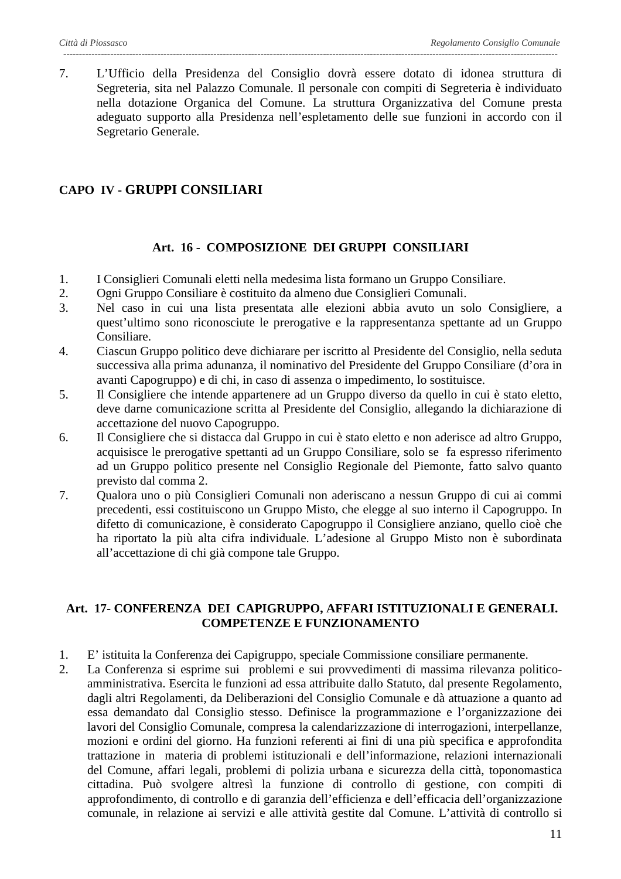7. L'Ufficio della Presidenza del Consiglio dovrà essere dotato di idonea struttura di Segreteria, sita nel Palazzo Comunale. Il personale con compiti di Segreteria è individuato nella dotazione Organica del Comune. La struttura Organizzativa del Comune presta adeguato supporto alla Presidenza nell'espletamento delle sue funzioni in accordo con il Segretario Generale.

*--------------------------------------------------------------------------------------------------------------------------------------------------------------*

#### **CAPO IV - GRUPPI CONSILIARI**

#### **Art. 16 - COMPOSIZIONE DEI GRUPPI CONSILIARI**

- 1. I Consiglieri Comunali eletti nella medesima lista formano un Gruppo Consiliare.
- 2. Ogni Gruppo Consiliare è costituito da almeno due Consiglieri Comunali.
- 3. Nel caso in cui una lista presentata alle elezioni abbia avuto un solo Consigliere, a quest'ultimo sono riconosciute le prerogative e la rappresentanza spettante ad un Gruppo Consiliare.
- 4. Ciascun Gruppo politico deve dichiarare per iscritto al Presidente del Consiglio, nella seduta successiva alla prima adunanza, il nominativo del Presidente del Gruppo Consiliare (d'ora in avanti Capogruppo) e di chi, in caso di assenza o impedimento, lo sostituisce.
- 5. Il Consigliere che intende appartenere ad un Gruppo diverso da quello in cui è stato eletto, deve darne comunicazione scritta al Presidente del Consiglio, allegando la dichiarazione di accettazione del nuovo Capogruppo.
- 6. Il Consigliere che si distacca dal Gruppo in cui è stato eletto e non aderisce ad altro Gruppo, acquisisce le prerogative spettanti ad un Gruppo Consiliare, solo se fa espresso riferimento ad un Gruppo politico presente nel Consiglio Regionale del Piemonte, fatto salvo quanto previsto dal comma 2.
- 7. Qualora uno o più Consiglieri Comunali non aderiscano a nessun Gruppo di cui ai commi precedenti, essi costituiscono un Gruppo Misto, che elegge al suo interno il Capogruppo. In difetto di comunicazione, è considerato Capogruppo il Consigliere anziano, quello cioè che ha riportato la più alta cifra individuale. L'adesione al Gruppo Misto non è subordinata all'accettazione di chi già compone tale Gruppo.

#### **Art. 17- CONFERENZA DEI CAPIGRUPPO, AFFARI ISTITUZIONALI E GENERALI. COMPETENZE E FUNZIONAMENTO**

- 1. E' istituita la Conferenza dei Capigruppo, speciale Commissione consiliare permanente.
- 2. La Conferenza si esprime sui problemi e sui provvedimenti di massima rilevanza politicoamministrativa. Esercita le funzioni ad essa attribuite dallo Statuto, dal presente Regolamento, dagli altri Regolamenti, da Deliberazioni del Consiglio Comunale e dà attuazione a quanto ad essa demandato dal Consiglio stesso. Definisce la programmazione e l'organizzazione dei lavori del Consiglio Comunale, compresa la calendarizzazione di interrogazioni, interpellanze, mozioni e ordini del giorno. Ha funzioni referenti ai fini di una più specifica e approfondita trattazione in materia di problemi istituzionali e dell'informazione, relazioni internazionali del Comune, affari legali, problemi di polizia urbana e sicurezza della città, toponomastica cittadina. Può svolgere altresì la funzione di controllo di gestione, con compiti di approfondimento, di controllo e di garanzia dell'efficienza e dell'efficacia dell'organizzazione comunale, in relazione ai servizi e alle attività gestite dal Comune. L'attività di controllo si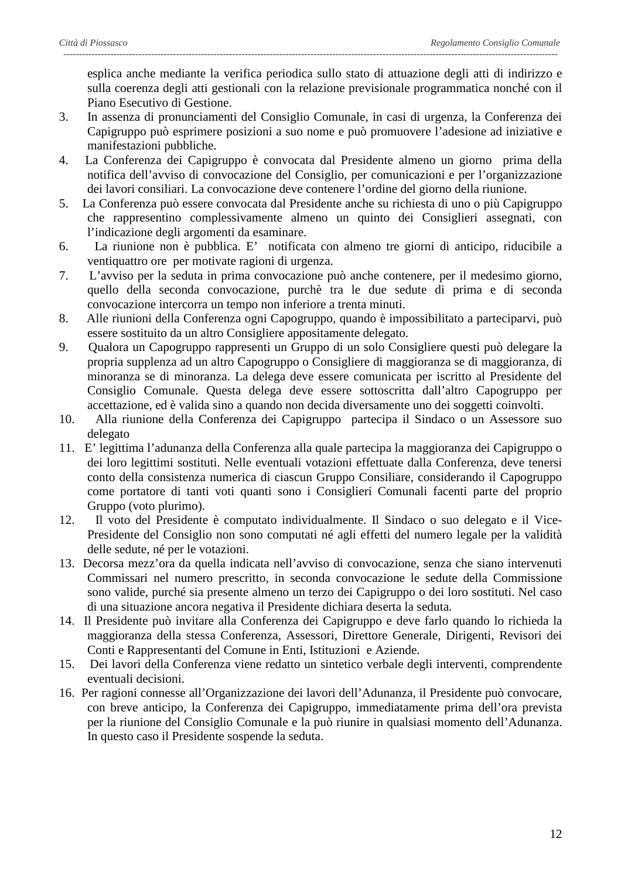esplica anche mediante la verifica periodica sullo stato di attuazione degli atti di indirizzo e sulla coerenza degli atti gestionali con la relazione previsionale programmatica nonché con il Piano Esecutivo di Gestione.

3. In assenza di pronunciamenti del Consiglio Comunale, in casi di urgenza, la Conferenza dei Capigruppo può esprimere posizioni a suo nome e può promuovere l'adesione ad iniziative e manifestazioni pubbliche.

*--------------------------------------------------------------------------------------------------------------------------------------------------------------*

- 4. La Conferenza dei Capigruppo è convocata dal Presidente almeno un giorno prima della notifica dell'avviso di convocazione del Consiglio, per comunicazioni e per l'organizzazione dei lavori consiliari. La convocazione deve contenere l'ordine del giorno della riunione.
- 5. La Conferenza può essere convocata dal Presidente anche su richiesta di uno o più Capigruppo che rappresentino complessivamente almeno un quinto dei Consiglieri assegnati, con l'indicazione degli argomenti da esaminare.
- 6. La riunione non è pubblica. E' notificata con almeno tre giorni di anticipo, riducibile a ventiquattro ore per motivate ragioni di urgenza.
- 7. L'avviso per la seduta in prima convocazione può anche contenere, per il medesimo giorno, quello della seconda convocazione, purchè tra le due sedute di prima e di seconda convocazione intercorra un tempo non inferiore a trenta minuti.
- 8. Alle riunioni della Conferenza ogni Capogruppo, quando è impossibilitato a parteciparvi, può essere sostituito da un altro Consigliere appositamente delegato.
- 9. Qualora un Capogruppo rappresenti un Gruppo di un solo Consigliere questi può delegare la propria supplenza ad un altro Capogruppo o Consigliere di maggioranza se di maggioranza, di minoranza se di minoranza. La delega deve essere comunicata per iscritto al Presidente del Consiglio Comunale. Questa delega deve essere sottoscritta dall'altro Capogruppo per accettazione, ed è valida sino a quando non decida diversamente uno dei soggetti coinvolti.
- 10. Alla riunione della Conferenza dei Capigruppo partecipa il Sindaco o un Assessore suo delegato
- 11. E' legittima l'adunanza della Conferenza alla quale partecipa la maggioranza dei Capigruppo o dei loro legittimi sostituti. Nelle eventuali votazioni effettuate dalla Conferenza, deve tenersi conto della consistenza numerica di ciascun Gruppo Consiliare, considerando il Capogruppo come portatore di tanti voti quanti sono i Consiglieri Comunali facenti parte del proprio Gruppo (voto plurimo).
- 12. Il voto del Presidente è computato individualmente. Il Sindaco o suo delegato e il Vice-Presidente del Consiglio non sono computati né agli effetti del numero legale per la validità delle sedute, né per le votazioni.
- 13. Decorsa mezz'ora da quella indicata nell'avviso di convocazione, senza che siano intervenuti Commissari nel numero prescritto, in seconda convocazione le sedute della Commissione sono valide, purché sia presente almeno un terzo dei Capigruppo o dei loro sostituti. Nel caso di una situazione ancora negativa il Presidente dichiara deserta la seduta.
- 14. Il Presidente può invitare alla Conferenza dei Capigruppo e deve farlo quando lo richieda la maggioranza della stessa Conferenza, Assessori, Direttore Generale, Dirigenti, Revisori dei Conti e Rappresentanti del Comune in Enti, Istituzioni e Aziende.
- 15. Dei lavori della Conferenza viene redatto un sintetico verbale degli interventi, comprendente eventuali decisioni.
- 16. Per ragioni connesse all'Organizzazione dei lavori dell'Adunanza, il Presidente può convocare, con breve anticipo, la Conferenza dei Capigruppo, immediatamente prima dell'ora prevista per la riunione del Consiglio Comunale e la può riunire in qualsiasi momento dell'Adunanza. In questo caso il Presidente sospende la seduta.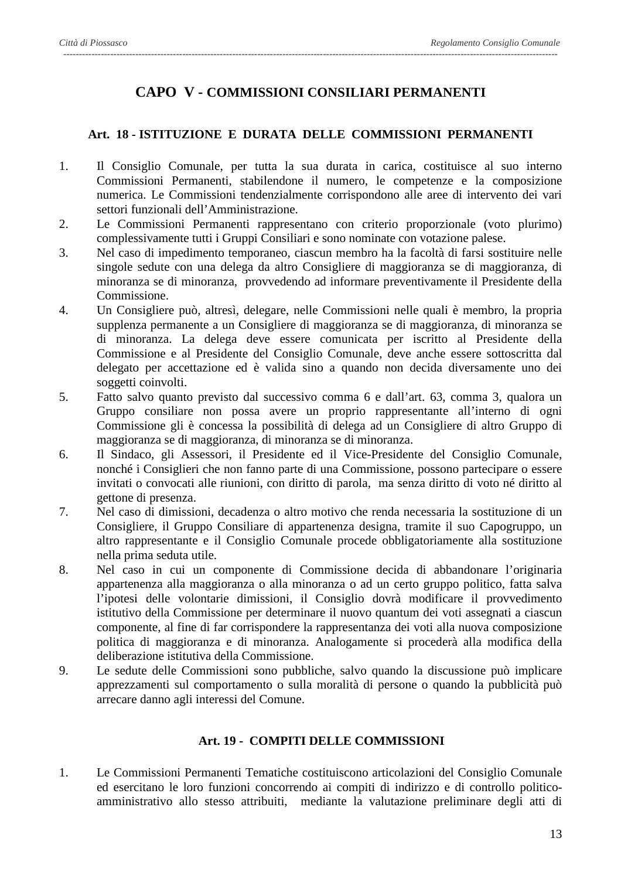# **CAPO V - COMMISSIONI CONSILIARI PERMANENTI**

*--------------------------------------------------------------------------------------------------------------------------------------------------------------*

#### **Art. 18 - ISTITUZIONE E DURATA DELLE COMMISSIONI PERMANENTI**

- 1. Il Consiglio Comunale, per tutta la sua durata in carica, costituisce al suo interno Commissioni Permanenti, stabilendone il numero, le competenze e la composizione numerica. Le Commissioni tendenzialmente corrispondono alle aree di intervento dei vari settori funzionali dell'Amministrazione.
- 2. Le Commissioni Permanenti rappresentano con criterio proporzionale (voto plurimo) complessivamente tutti i Gruppi Consiliari e sono nominate con votazione palese.
- 3. Nel caso di impedimento temporaneo, ciascun membro ha la facoltà di farsi sostituire nelle singole sedute con una delega da altro Consigliere di maggioranza se di maggioranza, di minoranza se di minoranza, provvedendo ad informare preventivamente il Presidente della Commissione.
- 4. Un Consigliere può, altresì, delegare, nelle Commissioni nelle quali è membro, la propria supplenza permanente a un Consigliere di maggioranza se di maggioranza, di minoranza se di minoranza. La delega deve essere comunicata per iscritto al Presidente della Commissione e al Presidente del Consiglio Comunale, deve anche essere sottoscritta dal delegato per accettazione ed è valida sino a quando non decida diversamente uno dei soggetti coinvolti.
- 5. Fatto salvo quanto previsto dal successivo comma 6 e dall'art. 63, comma 3, qualora un Gruppo consiliare non possa avere un proprio rappresentante all'interno di ogni Commissione gli è concessa la possibilità di delega ad un Consigliere di altro Gruppo di maggioranza se di maggioranza, di minoranza se di minoranza.
- 6. Il Sindaco, gli Assessori, il Presidente ed il Vice-Presidente del Consiglio Comunale, nonché i Consiglieri che non fanno parte di una Commissione, possono partecipare o essere invitati o convocati alle riunioni, con diritto di parola, ma senza diritto di voto né diritto al gettone di presenza.
- 7. Nel caso di dimissioni, decadenza o altro motivo che renda necessaria la sostituzione di un Consigliere, il Gruppo Consiliare di appartenenza designa, tramite il suo Capogruppo, un altro rappresentante e il Consiglio Comunale procede obbligatoriamente alla sostituzione nella prima seduta utile.
- 8. Nel caso in cui un componente di Commissione decida di abbandonare l'originaria appartenenza alla maggioranza o alla minoranza o ad un certo gruppo politico, fatta salva l'ipotesi delle volontarie dimissioni, il Consiglio dovrà modificare il provvedimento istitutivo della Commissione per determinare il nuovo quantum dei voti assegnati a ciascun componente, al fine di far corrispondere la rappresentanza dei voti alla nuova composizione politica di maggioranza e di minoranza. Analogamente si procederà alla modifica della deliberazione istitutiva della Commissione.
- 9. Le sedute delle Commissioni sono pubbliche, salvo quando la discussione può implicare apprezzamenti sul comportamento o sulla moralità di persone o quando la pubblicità può arrecare danno agli interessi del Comune.

#### **Art. 19 - COMPITI DELLE COMMISSIONI**

1. Le Commissioni Permanenti Tematiche costituiscono articolazioni del Consiglio Comunale ed esercitano le loro funzioni concorrendo ai compiti di indirizzo e di controllo politicoamministrativo allo stesso attribuiti, mediante la valutazione preliminare degli atti di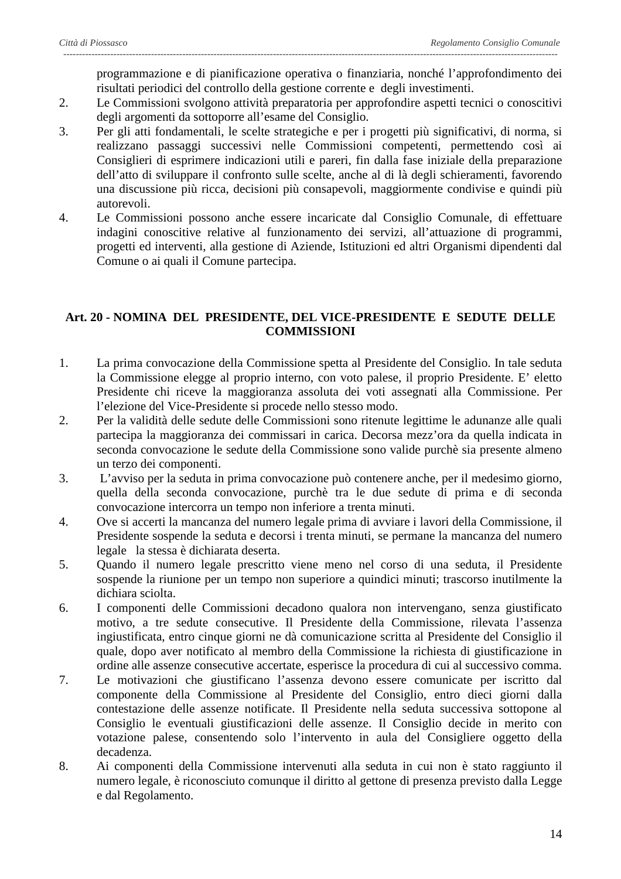programmazione e di pianificazione operativa o finanziaria, nonché l'approfondimento dei risultati periodici del controllo della gestione corrente e degli investimenti.

2. Le Commissioni svolgono attività preparatoria per approfondire aspetti tecnici o conoscitivi degli argomenti da sottoporre all'esame del Consiglio.

*--------------------------------------------------------------------------------------------------------------------------------------------------------------*

- 3. Per gli atti fondamentali, le scelte strategiche e per i progetti più significativi, di norma, si realizzano passaggi successivi nelle Commissioni competenti, permettendo così ai Consiglieri di esprimere indicazioni utili e pareri, fin dalla fase iniziale della preparazione dell'atto di sviluppare il confronto sulle scelte, anche al di là degli schieramenti, favorendo una discussione più ricca, decisioni più consapevoli, maggiormente condivise e quindi più autorevoli.
- 4. Le Commissioni possono anche essere incaricate dal Consiglio Comunale, di effettuare indagini conoscitive relative al funzionamento dei servizi, all'attuazione di programmi, progetti ed interventi, alla gestione di Aziende, Istituzioni ed altri Organismi dipendenti dal Comune o ai quali il Comune partecipa.

#### **Art. 20 - NOMINA DEL PRESIDENTE, DEL VICE-PRESIDENTE E SEDUTE DELLE COMMISSIONI**

- 1. La prima convocazione della Commissione spetta al Presidente del Consiglio. In tale seduta la Commissione elegge al proprio interno, con voto palese, il proprio Presidente. E' eletto Presidente chi riceve la maggioranza assoluta dei voti assegnati alla Commissione. Per l'elezione del Vice-Presidente si procede nello stesso modo.
- 2. Per la validità delle sedute delle Commissioni sono ritenute legittime le adunanze alle quali partecipa la maggioranza dei commissari in carica. Decorsa mezz'ora da quella indicata in seconda convocazione le sedute della Commissione sono valide purchè sia presente almeno un terzo dei componenti.
- 3. L'avviso per la seduta in prima convocazione può contenere anche, per il medesimo giorno, quella della seconda convocazione, purchè tra le due sedute di prima e di seconda convocazione intercorra un tempo non inferiore a trenta minuti.
- 4. Ove si accerti la mancanza del numero legale prima di avviare i lavori della Commissione, il Presidente sospende la seduta e decorsi i trenta minuti, se permane la mancanza del numero legale la stessa è dichiarata deserta.
- 5. Quando il numero legale prescritto viene meno nel corso di una seduta, il Presidente sospende la riunione per un tempo non superiore a quindici minuti; trascorso inutilmente la dichiara sciolta.
- 6. I componenti delle Commissioni decadono qualora non intervengano, senza giustificato motivo, a tre sedute consecutive. Il Presidente della Commissione, rilevata l'assenza ingiustificata, entro cinque giorni ne dà comunicazione scritta al Presidente del Consiglio il quale, dopo aver notificato al membro della Commissione la richiesta di giustificazione in ordine alle assenze consecutive accertate, esperisce la procedura di cui al successivo comma.
- 7. Le motivazioni che giustificano l'assenza devono essere comunicate per iscritto dal componente della Commissione al Presidente del Consiglio, entro dieci giorni dalla contestazione delle assenze notificate. Il Presidente nella seduta successiva sottopone al Consiglio le eventuali giustificazioni delle assenze. Il Consiglio decide in merito con votazione palese, consentendo solo l'intervento in aula del Consigliere oggetto della decadenza.
- 8. Ai componenti della Commissione intervenuti alla seduta in cui non è stato raggiunto il numero legale, è riconosciuto comunque il diritto al gettone di presenza previsto dalla Legge e dal Regolamento.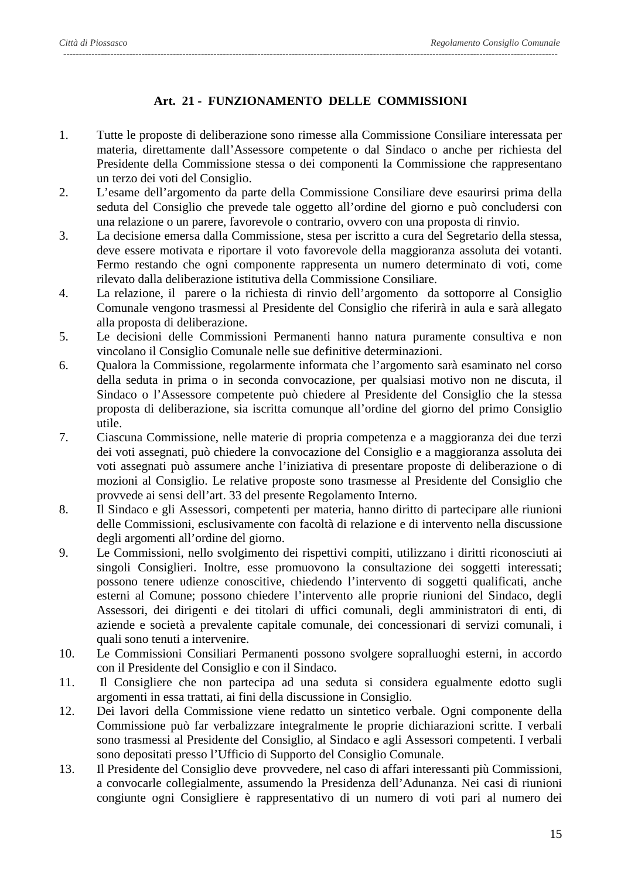# **Art. 21 - FUNZIONAMENTO DELLE COMMISSIONI**

*--------------------------------------------------------------------------------------------------------------------------------------------------------------*

- 1. Tutte le proposte di deliberazione sono rimesse alla Commissione Consiliare interessata per materia, direttamente dall'Assessore competente o dal Sindaco o anche per richiesta del Presidente della Commissione stessa o dei componenti la Commissione che rappresentano un terzo dei voti del Consiglio.
- 2. L'esame dell'argomento da parte della Commissione Consiliare deve esaurirsi prima della seduta del Consiglio che prevede tale oggetto all'ordine del giorno e può concludersi con una relazione o un parere, favorevole o contrario, ovvero con una proposta di rinvio.
- 3. La decisione emersa dalla Commissione, stesa per iscritto a cura del Segretario della stessa, deve essere motivata e riportare il voto favorevole della maggioranza assoluta dei votanti. Fermo restando che ogni componente rappresenta un numero determinato di voti, come rilevato dalla deliberazione istitutiva della Commissione Consiliare.
- 4. La relazione, il parere o la richiesta di rinvio dell'argomento da sottoporre al Consiglio Comunale vengono trasmessi al Presidente del Consiglio che riferirà in aula e sarà allegato alla proposta di deliberazione.
- 5. Le decisioni delle Commissioni Permanenti hanno natura puramente consultiva e non vincolano il Consiglio Comunale nelle sue definitive determinazioni.
- 6. Qualora la Commissione, regolarmente informata che l'argomento sarà esaminato nel corso della seduta in prima o in seconda convocazione, per qualsiasi motivo non ne discuta, il Sindaco o l'Assessore competente può chiedere al Presidente del Consiglio che la stessa proposta di deliberazione, sia iscritta comunque all'ordine del giorno del primo Consiglio utile.
- 7. Ciascuna Commissione, nelle materie di propria competenza e a maggioranza dei due terzi dei voti assegnati, può chiedere la convocazione del Consiglio e a maggioranza assoluta dei voti assegnati può assumere anche l'iniziativa di presentare proposte di deliberazione o di mozioni al Consiglio. Le relative proposte sono trasmesse al Presidente del Consiglio che provvede ai sensi dell'art. 33 del presente Regolamento Interno.
- 8. Il Sindaco e gli Assessori, competenti per materia, hanno diritto di partecipare alle riunioni delle Commissioni, esclusivamente con facoltà di relazione e di intervento nella discussione degli argomenti all'ordine del giorno.
- 9. Le Commissioni, nello svolgimento dei rispettivi compiti, utilizzano i diritti riconosciuti ai singoli Consiglieri. Inoltre, esse promuovono la consultazione dei soggetti interessati; possono tenere udienze conoscitive, chiedendo l'intervento di soggetti qualificati, anche esterni al Comune; possono chiedere l'intervento alle proprie riunioni del Sindaco, degli Assessori, dei dirigenti e dei titolari di uffici comunali, degli amministratori di enti, di aziende e società a prevalente capitale comunale, dei concessionari di servizi comunali, i quali sono tenuti a intervenire.
- 10. Le Commissioni Consiliari Permanenti possono svolgere sopralluoghi esterni, in accordo con il Presidente del Consiglio e con il Sindaco.
- 11. Il Consigliere che non partecipa ad una seduta si considera egualmente edotto sugli argomenti in essa trattati, ai fini della discussione in Consiglio.
- 12. Dei lavori della Commissione viene redatto un sintetico verbale. Ogni componente della Commissione può far verbalizzare integralmente le proprie dichiarazioni scritte. I verbali sono trasmessi al Presidente del Consiglio, al Sindaco e agli Assessori competenti. I verbali sono depositati presso l'Ufficio di Supporto del Consiglio Comunale.
- 13. Il Presidente del Consiglio deve provvedere, nel caso di affari interessanti più Commissioni, a convocarle collegialmente, assumendo la Presidenza dell'Adunanza. Nei casi di riunioni congiunte ogni Consigliere è rappresentativo di un numero di voti pari al numero dei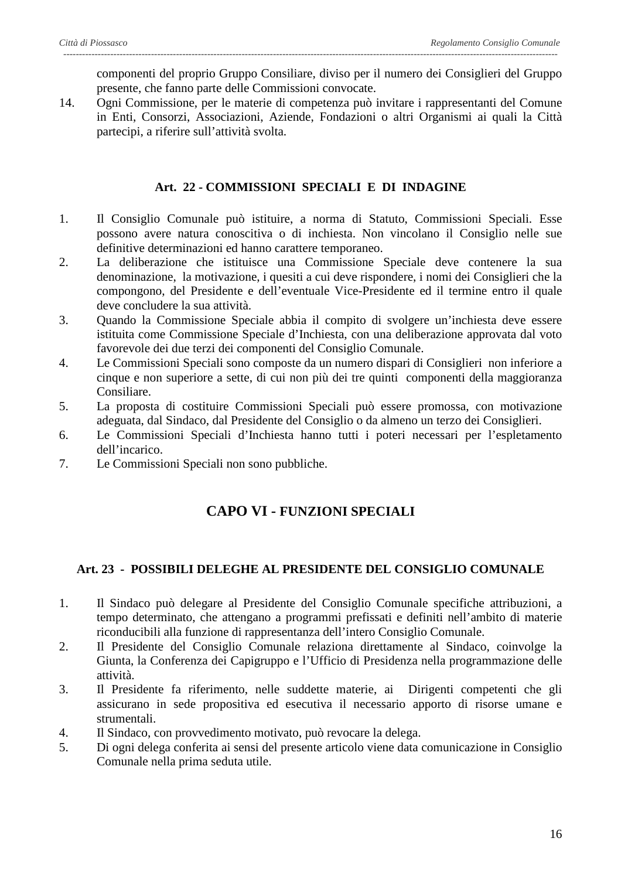componenti del proprio Gruppo Consiliare, diviso per il numero dei Consiglieri del Gruppo presente, che fanno parte delle Commissioni convocate.

14. Ogni Commissione, per le materie di competenza può invitare i rappresentanti del Comune in Enti, Consorzi, Associazioni, Aziende, Fondazioni o altri Organismi ai quali la Città partecipi, a riferire sull'attività svolta.

*--------------------------------------------------------------------------------------------------------------------------------------------------------------*

#### **Art. 22 - COMMISSIONI SPECIALI E DI INDAGINE**

- 1. Il Consiglio Comunale può istituire, a norma di Statuto, Commissioni Speciali. Esse possono avere natura conoscitiva o di inchiesta. Non vincolano il Consiglio nelle sue definitive determinazioni ed hanno carattere temporaneo.
- 2. La deliberazione che istituisce una Commissione Speciale deve contenere la sua denominazione, la motivazione, i quesiti a cui deve rispondere, i nomi dei Consiglieri che la compongono, del Presidente e dell'eventuale Vice-Presidente ed il termine entro il quale deve concludere la sua attività.
- 3. Quando la Commissione Speciale abbia il compito di svolgere un'inchiesta deve essere istituita come Commissione Speciale d'Inchiesta, con una deliberazione approvata dal voto favorevole dei due terzi dei componenti del Consiglio Comunale.
- 4. Le Commissioni Speciali sono composte da un numero dispari di Consiglieri non inferiore a cinque e non superiore a sette, di cui non più dei tre quinti componenti della maggioranza Consiliare.
- 5. La proposta di costituire Commissioni Speciali può essere promossa, con motivazione adeguata, dal Sindaco, dal Presidente del Consiglio o da almeno un terzo dei Consiglieri.
- 6. Le Commissioni Speciali d'Inchiesta hanno tutti i poteri necessari per l'espletamento dell'incarico.
- 7. Le Commissioni Speciali non sono pubbliche.

# **CAPO VI - FUNZIONI SPECIALI**

#### **Art. 23 - POSSIBILI DELEGHE AL PRESIDENTE DEL CONSIGLIO COMUNALE**

- 1. Il Sindaco può delegare al Presidente del Consiglio Comunale specifiche attribuzioni, a tempo determinato, che attengano a programmi prefissati e definiti nell'ambito di materie riconducibili alla funzione di rappresentanza dell'intero Consiglio Comunale.
- 2. Il Presidente del Consiglio Comunale relaziona direttamente al Sindaco, coinvolge la Giunta, la Conferenza dei Capigruppo e l'Ufficio di Presidenza nella programmazione delle attività.
- 3. Il Presidente fa riferimento, nelle suddette materie, ai Dirigenti competenti che gli assicurano in sede propositiva ed esecutiva il necessario apporto di risorse umane e strumentali.
- 4. Il Sindaco, con provvedimento motivato, può revocare la delega.
- 5. Di ogni delega conferita ai sensi del presente articolo viene data comunicazione in Consiglio Comunale nella prima seduta utile.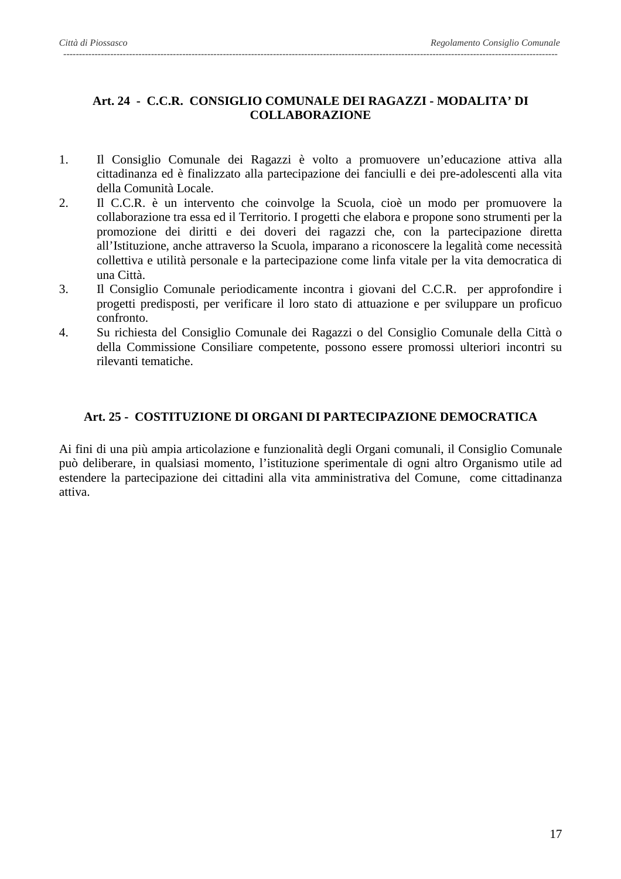### **Art. 24 - C.C.R. CONSIGLIO COMUNALE DEI RAGAZZI - MODALITA' DI COLLABORAZIONE**

*--------------------------------------------------------------------------------------------------------------------------------------------------------------*

- 1. Il Consiglio Comunale dei Ragazzi è volto a promuovere un'educazione attiva alla cittadinanza ed è finalizzato alla partecipazione dei fanciulli e dei pre-adolescenti alla vita della Comunità Locale.
- 2. Il C.C.R. è un intervento che coinvolge la Scuola, cioè un modo per promuovere la collaborazione tra essa ed il Territorio. I progetti che elabora e propone sono strumenti per la promozione dei diritti e dei doveri dei ragazzi che, con la partecipazione diretta all'Istituzione, anche attraverso la Scuola, imparano a riconoscere la legalità come necessità collettiva e utilità personale e la partecipazione come linfa vitale per la vita democratica di una Città.
- 3. Il Consiglio Comunale periodicamente incontra i giovani del C.C.R. per approfondire i progetti predisposti, per verificare il loro stato di attuazione e per sviluppare un proficuo confronto.
- 4. Su richiesta del Consiglio Comunale dei Ragazzi o del Consiglio Comunale della Città o della Commissione Consiliare competente, possono essere promossi ulteriori incontri su rilevanti tematiche.

#### **Art. 25 - COSTITUZIONE DI ORGANI DI PARTECIPAZIONE DEMOCRATICA**

Ai fini di una più ampia articolazione e funzionalità degli Organi comunali, il Consiglio Comunale può deliberare, in qualsiasi momento, l'istituzione sperimentale di ogni altro Organismo utile ad estendere la partecipazione dei cittadini alla vita amministrativa del Comune, come cittadinanza attiva.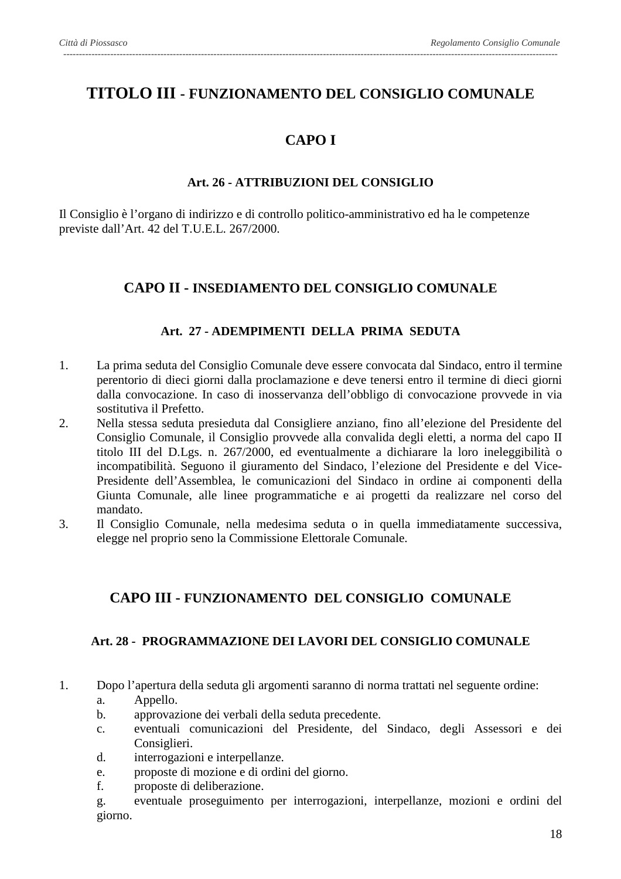# **TITOLO III - FUNZIONAMENTO DEL CONSIGLIO COMUNALE**

*--------------------------------------------------------------------------------------------------------------------------------------------------------------*

# **CAPO I**

# **Art. 26 - ATTRIBUZIONI DEL CONSIGLIO**

Il Consiglio è l'organo di indirizzo e di controllo politico-amministrativo ed ha le competenze previste dall'Art. 42 del T.U.E.L. 267/2000.

# **CAPO II - INSEDIAMENTO DEL CONSIGLIO COMUNALE**

#### **Art. 27 - ADEMPIMENTI DELLA PRIMA SEDUTA**

- 1. La prima seduta del Consiglio Comunale deve essere convocata dal Sindaco, entro il termine perentorio di dieci giorni dalla proclamazione e deve tenersi entro il termine di dieci giorni dalla convocazione. In caso di inosservanza dell'obbligo di convocazione provvede in via sostitutiva il Prefetto.
- 2. Nella stessa seduta presieduta dal Consigliere anziano, fino all'elezione del Presidente del Consiglio Comunale, il Consiglio provvede alla convalida degli eletti, a norma del capo II titolo III del D.Lgs. n. 267/2000, ed eventualmente a dichiarare la loro ineleggibilità o incompatibilità. Seguono il giuramento del Sindaco, l'elezione del Presidente e del Vice-Presidente dell'Assemblea, le comunicazioni del Sindaco in ordine ai componenti della Giunta Comunale, alle linee programmatiche e ai progetti da realizzare nel corso del mandato.
- 3. Il Consiglio Comunale, nella medesima seduta o in quella immediatamente successiva, elegge nel proprio seno la Commissione Elettorale Comunale.

# **CAPO III - FUNZIONAMENTO DEL CONSIGLIO COMUNALE**

#### **Art. 28 - PROGRAMMAZIONE DEI LAVORI DEL CONSIGLIO COMUNALE**

- 1. Dopo l'apertura della seduta gli argomenti saranno di norma trattati nel seguente ordine:
	- a. Appello.
	- b. approvazione dei verbali della seduta precedente.
	- c. eventuali comunicazioni del Presidente, del Sindaco, degli Assessori e dei Consiglieri.
	- d. interrogazioni e interpellanze.
	- e. proposte di mozione e di ordini del giorno.
	- f. proposte di deliberazione.

g. eventuale proseguimento per interrogazioni, interpellanze, mozioni e ordini del giorno.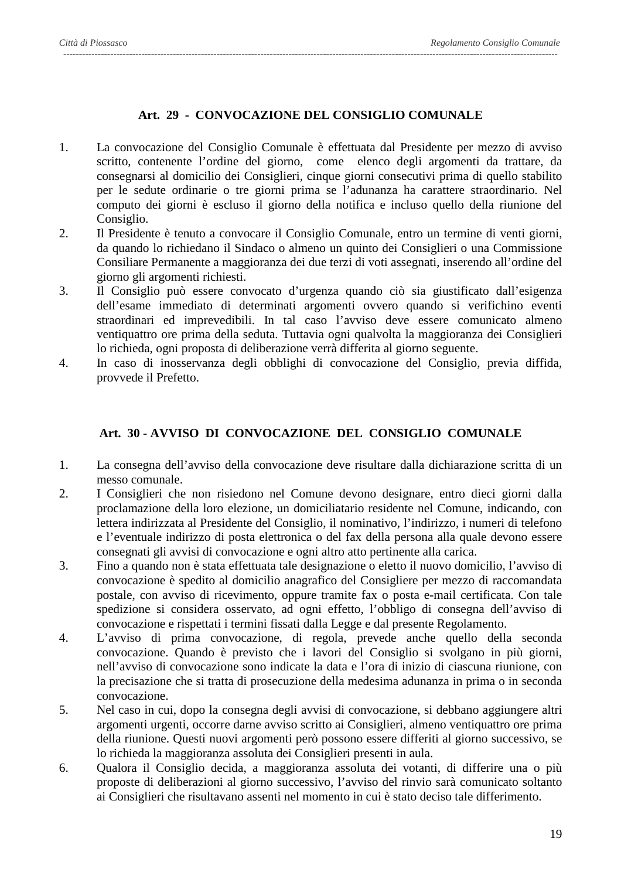# **Art. 29 - CONVOCAZIONE DEL CONSIGLIO COMUNALE**

*--------------------------------------------------------------------------------------------------------------------------------------------------------------*

- 1. La convocazione del Consiglio Comunale è effettuata dal Presidente per mezzo di avviso scritto, contenente l'ordine del giorno, come elenco degli argomenti da trattare, da consegnarsi al domicilio dei Consiglieri, cinque giorni consecutivi prima di quello stabilito per le sedute ordinarie o tre giorni prima se l'adunanza ha carattere straordinario*.* Nel computo dei giorni è escluso il giorno della notifica e incluso quello della riunione del Consiglio.
- 2. Il Presidente è tenuto a convocare il Consiglio Comunale, entro un termine di venti giorni, da quando lo richiedano il Sindaco o almeno un quinto dei Consiglieri o una Commissione Consiliare Permanente a maggioranza dei due terzi di voti assegnati, inserendo all'ordine del giorno gli argomenti richiesti.
- 3. Il Consiglio può essere convocato d'urgenza quando ciò sia giustificato dall'esigenza dell'esame immediato di determinati argomenti ovvero quando si verifichino eventi straordinari ed imprevedibili. In tal caso l'avviso deve essere comunicato almeno ventiquattro ore prima della seduta. Tuttavia ogni qualvolta la maggioranza dei Consiglieri lo richieda, ogni proposta di deliberazione verrà differita al giorno seguente.
- 4. In caso di inosservanza degli obblighi di convocazione del Consiglio, previa diffida, provvede il Prefetto.

#### **Art. 30 - AVVISO DI CONVOCAZIONE DEL CONSIGLIO COMUNALE**

- 1. La consegna dell'avviso della convocazione deve risultare dalla dichiarazione scritta di un messo comunale.
- 2. I Consiglieri che non risiedono nel Comune devono designare, entro dieci giorni dalla proclamazione della loro elezione, un domiciliatario residente nel Comune, indicando, con lettera indirizzata al Presidente del Consiglio, il nominativo, l'indirizzo, i numeri di telefono e l'eventuale indirizzo di posta elettronica o del fax della persona alla quale devono essere consegnati gli avvisi di convocazione e ogni altro atto pertinente alla carica.
- 3. Fino a quando non è stata effettuata tale designazione o eletto il nuovo domicilio, l'avviso di convocazione è spedito al domicilio anagrafico del Consigliere per mezzo di raccomandata postale, con avviso di ricevimento, oppure tramite fax o posta e-mail certificata. Con tale spedizione si considera osservato, ad ogni effetto, l'obbligo di consegna dell'avviso di convocazione e rispettati i termini fissati dalla Legge e dal presente Regolamento.
- 4. L'avviso di prima convocazione, di regola, prevede anche quello della seconda convocazione. Quando è previsto che i lavori del Consiglio si svolgano in più giorni, nell'avviso di convocazione sono indicate la data e l'ora di inizio di ciascuna riunione, con la precisazione che si tratta di prosecuzione della medesima adunanza in prima o in seconda convocazione.
- 5. Nel caso in cui, dopo la consegna degli avvisi di convocazione, si debbano aggiungere altri argomenti urgenti, occorre darne avviso scritto ai Consiglieri, almeno ventiquattro ore prima della riunione. Questi nuovi argomenti però possono essere differiti al giorno successivo, se lo richieda la maggioranza assoluta dei Consiglieri presenti in aula.
- 6. Qualora il Consiglio decida, a maggioranza assoluta dei votanti, di differire una o più proposte di deliberazioni al giorno successivo, l'avviso del rinvio sarà comunicato soltanto ai Consiglieri che risultavano assenti nel momento in cui è stato deciso tale differimento.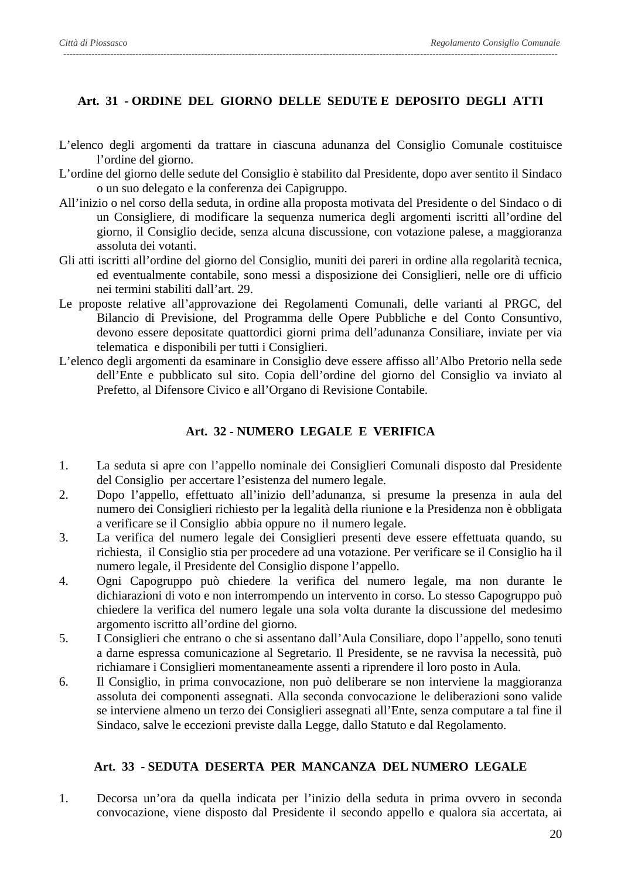#### **Art. 31 - ORDINE DEL GIORNO DELLE SEDUTE E DEPOSITO DEGLI ATTI**

*--------------------------------------------------------------------------------------------------------------------------------------------------------------*

- L'elenco degli argomenti da trattare in ciascuna adunanza del Consiglio Comunale costituisce l'ordine del giorno.
- L'ordine del giorno delle sedute del Consiglio è stabilito dal Presidente, dopo aver sentito il Sindaco o un suo delegato e la conferenza dei Capigruppo.
- All'inizio o nel corso della seduta, in ordine alla proposta motivata del Presidente o del Sindaco o di un Consigliere, di modificare la sequenza numerica degli argomenti iscritti all'ordine del giorno, il Consiglio decide, senza alcuna discussione, con votazione palese, a maggioranza assoluta dei votanti.
- Gli atti iscritti all'ordine del giorno del Consiglio, muniti dei pareri in ordine alla regolarità tecnica, ed eventualmente contabile, sono messi a disposizione dei Consiglieri, nelle ore di ufficio nei termini stabiliti dall'art. 29.
- Le proposte relative all'approvazione dei Regolamenti Comunali, delle varianti al PRGC, del Bilancio di Previsione, del Programma delle Opere Pubbliche e del Conto Consuntivo, devono essere depositate quattordici giorni prima dell'adunanza Consiliare, inviate per via telematica e disponibili per tutti i Consiglieri.
- L'elenco degli argomenti da esaminare in Consiglio deve essere affisso all'Albo Pretorio nella sede dell'Ente e pubblicato sul sito. Copia dell'ordine del giorno del Consiglio va inviato al Prefetto, al Difensore Civico e all'Organo di Revisione Contabile.

#### **Art. 32 - NUMERO LEGALE E VERIFICA**

- 1. La seduta si apre con l'appello nominale dei Consiglieri Comunali disposto dal Presidente del Consiglio per accertare l'esistenza del numero legale.
- 2. Dopo l'appello, effettuato all'inizio dell'adunanza, si presume la presenza in aula del numero dei Consiglieri richiesto per la legalità della riunione e la Presidenza non è obbligata a verificare se il Consiglio abbia oppure no il numero legale.
- 3. La verifica del numero legale dei Consiglieri presenti deve essere effettuata quando, su richiesta, il Consiglio stia per procedere ad una votazione. Per verificare se il Consiglio ha il numero legale, il Presidente del Consiglio dispone l'appello.
- 4. Ogni Capogruppo può chiedere la verifica del numero legale, ma non durante le dichiarazioni di voto e non interrompendo un intervento in corso. Lo stesso Capogruppo può chiedere la verifica del numero legale una sola volta durante la discussione del medesimo argomento iscritto all'ordine del giorno.
- 5. I Consiglieri che entrano o che si assentano dall'Aula Consiliare, dopo l'appello, sono tenuti a darne espressa comunicazione al Segretario. Il Presidente, se ne ravvisa la necessità, può richiamare i Consiglieri momentaneamente assenti a riprendere il loro posto in Aula.
- 6. Il Consiglio, in prima convocazione, non può deliberare se non interviene la maggioranza assoluta dei componenti assegnati. Alla seconda convocazione le deliberazioni sono valide se interviene almeno un terzo dei Consiglieri assegnati all'Ente, senza computare a tal fine il Sindaco, salve le eccezioni previste dalla Legge, dallo Statuto e dal Regolamento.

#### **Art. 33 - SEDUTA DESERTA PER MANCANZA DEL NUMERO LEGALE**

1. Decorsa un'ora da quella indicata per l'inizio della seduta in prima ovvero in seconda convocazione, viene disposto dal Presidente il secondo appello e qualora sia accertata, ai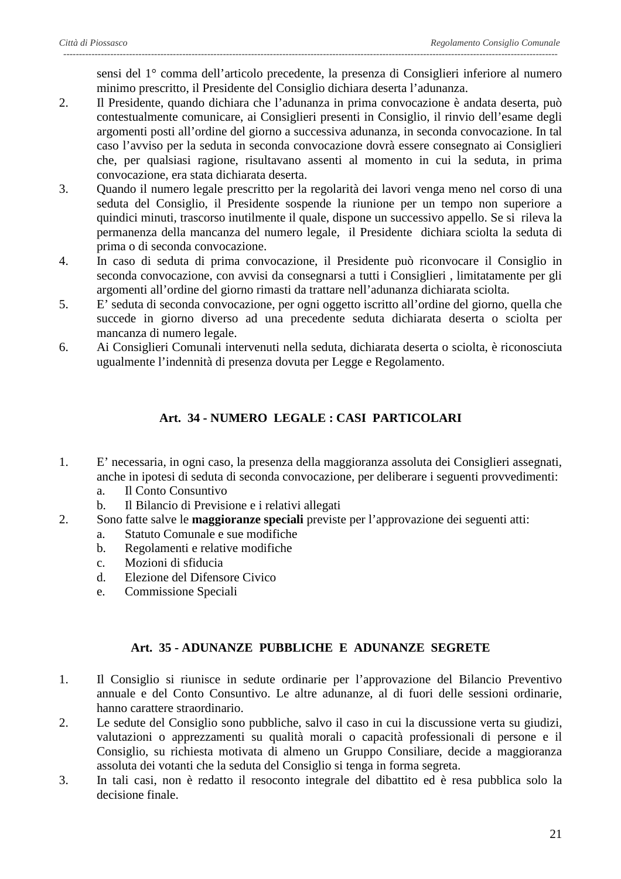sensi del 1° comma dell'articolo precedente, la presenza di Consiglieri inferiore al numero minimo prescritto, il Presidente del Consiglio dichiara deserta l'adunanza.

2. Il Presidente, quando dichiara che l'adunanza in prima convocazione è andata deserta, può contestualmente comunicare, ai Consiglieri presenti in Consiglio, il rinvio dell'esame degli argomenti posti all'ordine del giorno a successiva adunanza, in seconda convocazione. In tal caso l'avviso per la seduta in seconda convocazione dovrà essere consegnato ai Consiglieri che, per qualsiasi ragione, risultavano assenti al momento in cui la seduta, in prima convocazione, era stata dichiarata deserta.

*--------------------------------------------------------------------------------------------------------------------------------------------------------------*

- 3. Quando il numero legale prescritto per la regolarità dei lavori venga meno nel corso di una seduta del Consiglio, il Presidente sospende la riunione per un tempo non superiore a quindici minuti, trascorso inutilmente il quale, dispone un successivo appello. Se si rileva la permanenza della mancanza del numero legale, il Presidente dichiara sciolta la seduta di prima o di seconda convocazione.
- 4. In caso di seduta di prima convocazione, il Presidente può riconvocare il Consiglio in seconda convocazione, con avvisi da consegnarsi a tutti i Consiglieri , limitatamente per gli argomenti all'ordine del giorno rimasti da trattare nell'adunanza dichiarata sciolta.
- 5. E' seduta di seconda convocazione, per ogni oggetto iscritto all'ordine del giorno, quella che succede in giorno diverso ad una precedente seduta dichiarata deserta o sciolta per mancanza di numero legale.
- 6. Ai Consiglieri Comunali intervenuti nella seduta, dichiarata deserta o sciolta, è riconosciuta ugualmente l'indennità di presenza dovuta per Legge e Regolamento.

### **Art. 34 - NUMERO LEGALE : CASI PARTICOLARI**

- 1. E' necessaria, in ogni caso, la presenza della maggioranza assoluta dei Consiglieri assegnati, anche in ipotesi di seduta di seconda convocazione, per deliberare i seguenti provvedimenti:
	- a. Il Conto Consuntivo
	- b. Il Bilancio di Previsione e i relativi allegati
- 2. Sono fatte salve le **maggioranze speciali** previste per l'approvazione dei seguenti atti:
	- a. Statuto Comunale e sue modifiche
	- b. Regolamenti e relative modifiche
	- c. Mozioni di sfiducia
	- d. Elezione del Difensore Civico
	- e. Commissione Speciali

# **Art. 35 - ADUNANZE PUBBLICHE E ADUNANZE SEGRETE**

- 1. Il Consiglio si riunisce in sedute ordinarie per l'approvazione del Bilancio Preventivo annuale e del Conto Consuntivo. Le altre adunanze, al di fuori delle sessioni ordinarie, hanno carattere straordinario.
- 2. Le sedute del Consiglio sono pubbliche, salvo il caso in cui la discussione verta su giudizi, valutazioni o apprezzamenti su qualità morali o capacità professionali di persone e il Consiglio, su richiesta motivata di almeno un Gruppo Consiliare, decide a maggioranza assoluta dei votanti che la seduta del Consiglio si tenga in forma segreta.
- 3. In tali casi, non è redatto il resoconto integrale del dibattito ed è resa pubblica solo la decisione finale.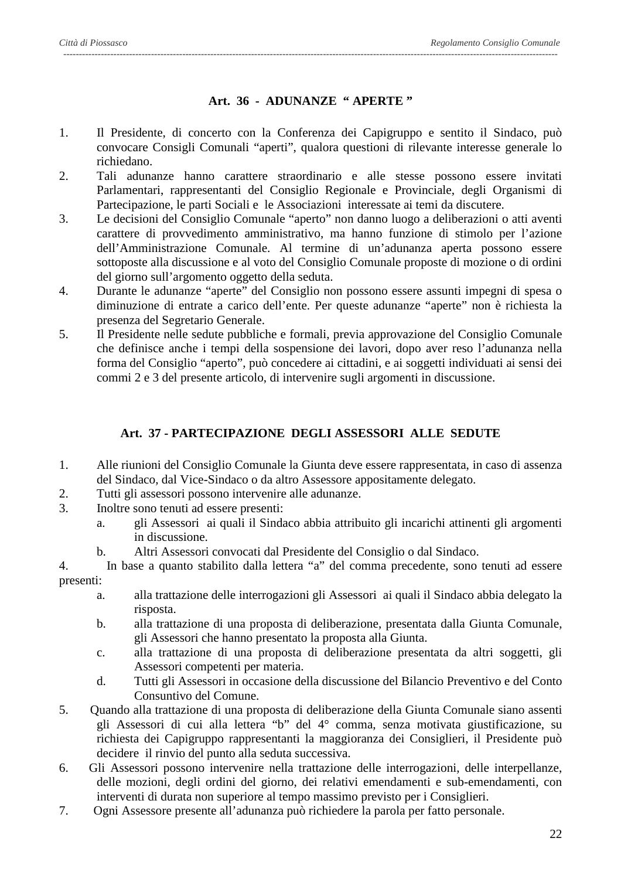### **Art. 36 - ADUNANZE " APERTE "**

*--------------------------------------------------------------------------------------------------------------------------------------------------------------*

- 1. Il Presidente, di concerto con la Conferenza dei Capigruppo e sentito il Sindaco, può convocare Consigli Comunali "aperti", qualora questioni di rilevante interesse generale lo richiedano.
- 2. Tali adunanze hanno carattere straordinario e alle stesse possono essere invitati Parlamentari, rappresentanti del Consiglio Regionale e Provinciale, degli Organismi di Partecipazione, le parti Sociali e le Associazioni interessate ai temi da discutere.
- 3. Le decisioni del Consiglio Comunale "aperto" non danno luogo a deliberazioni o atti aventi carattere di provvedimento amministrativo, ma hanno funzione di stimolo per l'azione dell'Amministrazione Comunale. Al termine di un'adunanza aperta possono essere sottoposte alla discussione e al voto del Consiglio Comunale proposte di mozione o di ordini del giorno sull'argomento oggetto della seduta.
- 4. Durante le adunanze "aperte" del Consiglio non possono essere assunti impegni di spesa o diminuzione di entrate a carico dell'ente. Per queste adunanze "aperte" non è richiesta la presenza del Segretario Generale.
- 5. Il Presidente nelle sedute pubbliche e formali, previa approvazione del Consiglio Comunale che definisce anche i tempi della sospensione dei lavori, dopo aver reso l'adunanza nella forma del Consiglio "aperto", può concedere ai cittadini, e ai soggetti individuati ai sensi dei commi 2 e 3 del presente articolo, di intervenire sugli argomenti in discussione.

### **Art. 37 - PARTECIPAZIONE DEGLI ASSESSORI ALLE SEDUTE**

- 1. Alle riunioni del Consiglio Comunale la Giunta deve essere rappresentata, in caso di assenza del Sindaco, dal Vice-Sindaco o da altro Assessore appositamente delegato.
- 2. Tutti gli assessori possono intervenire alle adunanze.
- 3. Inoltre sono tenuti ad essere presenti:
	- a. gli Assessori ai quali il Sindaco abbia attribuito gli incarichi attinenti gli argomenti in discussione.
	- b. Altri Assessori convocati dal Presidente del Consiglio o dal Sindaco.

- a. alla trattazione delle interrogazioni gli Assessori ai quali il Sindaco abbia delegato la risposta.
- b. alla trattazione di una proposta di deliberazione, presentata dalla Giunta Comunale, gli Assessori che hanno presentato la proposta alla Giunta.
- c. alla trattazione di una proposta di deliberazione presentata da altri soggetti, gli Assessori competenti per materia.
- d. Tutti gli Assessori in occasione della discussione del Bilancio Preventivo e del Conto Consuntivo del Comune.
- 5. Quando alla trattazione di una proposta di deliberazione della Giunta Comunale siano assenti gli Assessori di cui alla lettera "b" del 4° comma, senza motivata giustificazione, su richiesta dei Capigruppo rappresentanti la maggioranza dei Consiglieri, il Presidente può decidere il rinvio del punto alla seduta successiva.
- 6. Gli Assessori possono intervenire nella trattazione delle interrogazioni, delle interpellanze, delle mozioni, degli ordini del giorno, dei relativi emendamenti e sub-emendamenti, con interventi di durata non superiore al tempo massimo previsto per i Consiglieri.
- 7. Ogni Assessore presente all'adunanza può richiedere la parola per fatto personale.

<sup>4.</sup> In base a quanto stabilito dalla lettera "a" del comma precedente, sono tenuti ad essere presenti: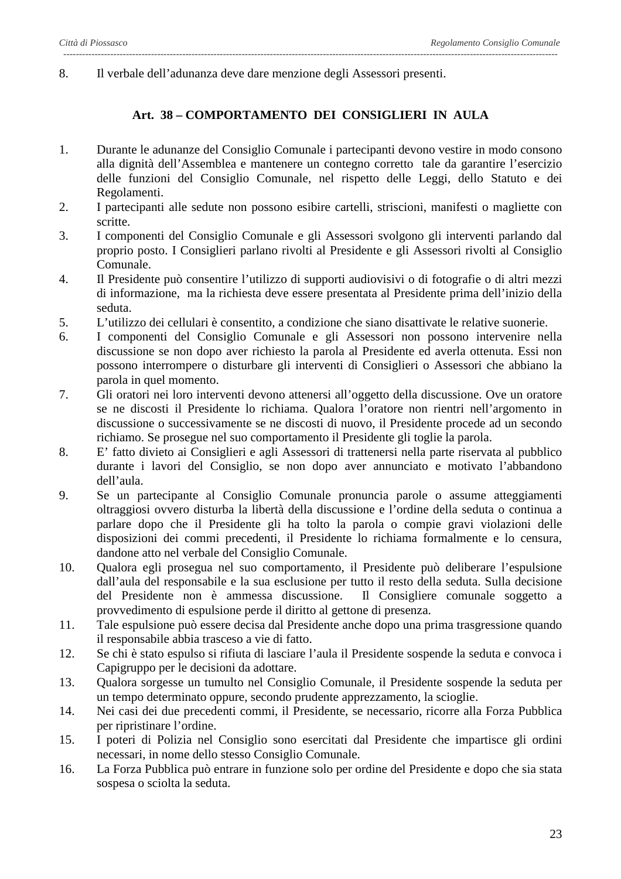8. Il verbale dell'adunanza deve dare menzione degli Assessori presenti.

#### **Art. 38 – COMPORTAMENTO DEI CONSIGLIERI IN AULA**

*--------------------------------------------------------------------------------------------------------------------------------------------------------------*

- 1. Durante le adunanze del Consiglio Comunale i partecipanti devono vestire in modo consono alla dignità dell'Assemblea e mantenere un contegno corretto tale da garantire l'esercizio delle funzioni del Consiglio Comunale, nel rispetto delle Leggi, dello Statuto e dei Regolamenti.
- 2. I partecipanti alle sedute non possono esibire cartelli, striscioni, manifesti o magliette con scritte.
- 3. I componenti del Consiglio Comunale e gli Assessori svolgono gli interventi parlando dal proprio posto. I Consiglieri parlano rivolti al Presidente e gli Assessori rivolti al Consiglio Comunale.
- 4. Il Presidente può consentire l'utilizzo di supporti audiovisivi o di fotografie o di altri mezzi di informazione, ma la richiesta deve essere presentata al Presidente prima dell'inizio della seduta.
- 5. L'utilizzo dei cellulari è consentito, a condizione che siano disattivate le relative suonerie.
- 6. I componenti del Consiglio Comunale e gli Assessori non possono intervenire nella discussione se non dopo aver richiesto la parola al Presidente ed averla ottenuta. Essi non possono interrompere o disturbare gli interventi di Consiglieri o Assessori che abbiano la parola in quel momento.
- 7. Gli oratori nei loro interventi devono attenersi all'oggetto della discussione. Ove un oratore se ne discosti il Presidente lo richiama. Qualora l'oratore non rientri nell'argomento in discussione o successivamente se ne discosti di nuovo, il Presidente procede ad un secondo richiamo. Se prosegue nel suo comportamento il Presidente gli toglie la parola.
- 8. E' fatto divieto ai Consiglieri e agli Assessori di trattenersi nella parte riservata al pubblico durante i lavori del Consiglio, se non dopo aver annunciato e motivato l'abbandono dell'aula.
- 9. Se un partecipante al Consiglio Comunale pronuncia parole o assume atteggiamenti oltraggiosi ovvero disturba la libertà della discussione e l'ordine della seduta o continua a parlare dopo che il Presidente gli ha tolto la parola o compie gravi violazioni delle disposizioni dei commi precedenti, il Presidente lo richiama formalmente e lo censura, dandone atto nel verbale del Consiglio Comunale.
- 10. Qualora egli prosegua nel suo comportamento, il Presidente può deliberare l'espulsione dall'aula del responsabile e la sua esclusione per tutto il resto della seduta. Sulla decisione del Presidente non è ammessa discussione. Il Consigliere comunale soggetto a provvedimento di espulsione perde il diritto al gettone di presenza.
- 11. Tale espulsione può essere decisa dal Presidente anche dopo una prima trasgressione quando il responsabile abbia trasceso a vie di fatto.
- 12. Se chi è stato espulso si rifiuta di lasciare l'aula il Presidente sospende la seduta e convoca i Capigruppo per le decisioni da adottare.
- 13. Qualora sorgesse un tumulto nel Consiglio Comunale, il Presidente sospende la seduta per un tempo determinato oppure, secondo prudente apprezzamento, la scioglie.
- 14. Nei casi dei due precedenti commi, il Presidente, se necessario, ricorre alla Forza Pubblica per ripristinare l'ordine.
- 15. I poteri di Polizia nel Consiglio sono esercitati dal Presidente che impartisce gli ordini necessari, in nome dello stesso Consiglio Comunale.
- 16. La Forza Pubblica può entrare in funzione solo per ordine del Presidente e dopo che sia stata sospesa o sciolta la seduta.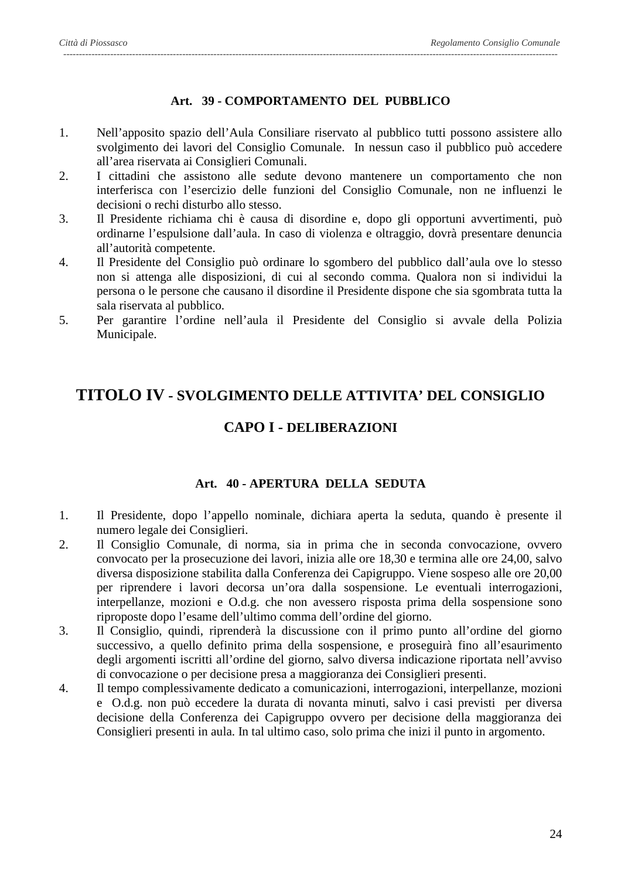#### **Art. 39 - COMPORTAMENTO DEL PUBBLICO**

*--------------------------------------------------------------------------------------------------------------------------------------------------------------*

- 1. Nell'apposito spazio dell'Aula Consiliare riservato al pubblico tutti possono assistere allo svolgimento dei lavori del Consiglio Comunale. In nessun caso il pubblico può accedere all'area riservata ai Consiglieri Comunali.
- 2. I cittadini che assistono alle sedute devono mantenere un comportamento che non interferisca con l'esercizio delle funzioni del Consiglio Comunale, non ne influenzi le decisioni o rechi disturbo allo stesso.
- 3. Il Presidente richiama chi è causa di disordine e, dopo gli opportuni avvertimenti, può ordinarne l'espulsione dall'aula. In caso di violenza e oltraggio, dovrà presentare denuncia all'autorità competente.
- 4. Il Presidente del Consiglio può ordinare lo sgombero del pubblico dall'aula ove lo stesso non si attenga alle disposizioni, di cui al secondo comma. Qualora non si individui la persona o le persone che causano il disordine il Presidente dispone che sia sgombrata tutta la sala riservata al pubblico.
- 5. Per garantire l'ordine nell'aula il Presidente del Consiglio si avvale della Polizia Municipale.

# **TITOLO IV - SVOLGIMENTO DELLE ATTIVITA' DEL CONSIGLIO**

### **CAPO I - DELIBERAZIONI**

#### **Art. 40 - APERTURA DELLA SEDUTA**

- 1. Il Presidente, dopo l'appello nominale, dichiara aperta la seduta, quando è presente il numero legale dei Consiglieri.
- 2. Il Consiglio Comunale, di norma, sia in prima che in seconda convocazione, ovvero convocato per la prosecuzione dei lavori, inizia alle ore 18,30 e termina alle ore 24,00, salvo diversa disposizione stabilita dalla Conferenza dei Capigruppo. Viene sospeso alle ore 20,00 per riprendere i lavori decorsa un'ora dalla sospensione. Le eventuali interrogazioni, interpellanze, mozioni e O.d.g. che non avessero risposta prima della sospensione sono riproposte dopo l'esame dell'ultimo comma dell'ordine del giorno.
- 3. Il Consiglio, quindi, riprenderà la discussione con il primo punto all'ordine del giorno successivo, a quello definito prima della sospensione, e proseguirà fino all'esaurimento degli argomenti iscritti all'ordine del giorno, salvo diversa indicazione riportata nell'avviso di convocazione o per decisione presa a maggioranza dei Consiglieri presenti.
- 4. Il tempo complessivamente dedicato a comunicazioni, interrogazioni, interpellanze, mozioni e O.d.g. non può eccedere la durata di novanta minuti, salvo i casi previsti per diversa decisione della Conferenza dei Capigruppo ovvero per decisione della maggioranza dei Consiglieri presenti in aula. In tal ultimo caso, solo prima che inizi il punto in argomento.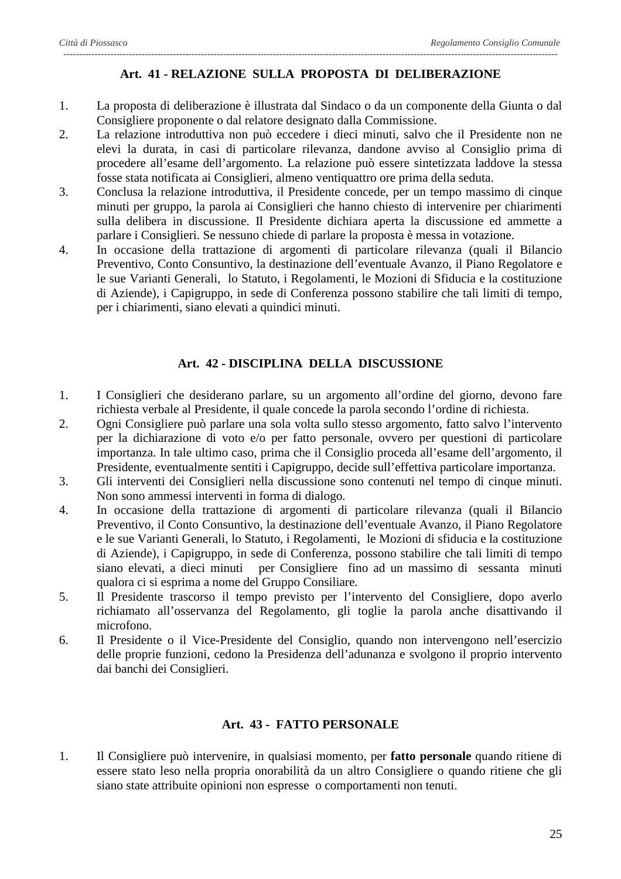# *--------------------------------------------------------------------------------------------------------------------------------------------------------------* **Art. 41 - RELAZIONE SULLA PROPOSTA DI DELIBERAZIONE**

- 1. La proposta di deliberazione è illustrata dal Sindaco o da un componente della Giunta o dal Consigliere proponente o dal relatore designato dalla Commissione.
- 2. La relazione introduttiva non può eccedere i dieci minuti, salvo che il Presidente non ne elevi la durata, in casi di particolare rilevanza, dandone avviso al Consiglio prima di procedere all'esame dell'argomento. La relazione può essere sintetizzata laddove la stessa fosse stata notificata ai Consiglieri, almeno ventiquattro ore prima della seduta.
- 3. Conclusa la relazione introduttiva, il Presidente concede, per un tempo massimo di cinque minuti per gruppo, la parola ai Consiglieri che hanno chiesto di intervenire per chiarimenti sulla delibera in discussione. Il Presidente dichiara aperta la discussione ed ammette a parlare i Consiglieri. Se nessuno chiede di parlare la proposta è messa in votazione.
- 4. In occasione della trattazione di argomenti di particolare rilevanza (quali il Bilancio Preventivo, Conto Consuntivo, la destinazione dell'eventuale Avanzo, il Piano Regolatore e le sue Varianti Generali, lo Statuto, i Regolamenti, le Mozioni di Sfiducia e la costituzione di Aziende), i Capigruppo, in sede di Conferenza possono stabilire che tali limiti di tempo, per i chiarimenti, siano elevati a quindici minuti.

#### **Art. 42 - DISCIPLINA DELLA DISCUSSIONE**

- 1. I Consiglieri che desiderano parlare, su un argomento all'ordine del giorno, devono fare richiesta verbale al Presidente, il quale concede la parola secondo l'ordine di richiesta.
- 2. Ogni Consigliere può parlare una sola volta sullo stesso argomento, fatto salvo l'intervento per la dichiarazione di voto e/o per fatto personale, ovvero per questioni di particolare importanza. In tale ultimo caso, prima che il Consiglio proceda all'esame dell'argomento, il Presidente, eventualmente sentiti i Capigruppo, decide sull'effettiva particolare importanza.
- 3. Gli interventi dei Consiglieri nella discussione sono contenuti nel tempo di cinque minuti. Non sono ammessi interventi in forma di dialogo.
- 4. In occasione della trattazione di argomenti di particolare rilevanza (quali il Bilancio Preventivo, il Conto Consuntivo, la destinazione dell'eventuale Avanzo, il Piano Regolatore e le sue Varianti Generali, lo Statuto, i Regolamenti, le Mozioni di sfiducia e la costituzione di Aziende), i Capigruppo, in sede di Conferenza, possono stabilire che tali limiti di tempo siano elevati, a dieci minuti per Consigliere fino ad un massimo di sessanta minuti qualora ci si esprima a nome del Gruppo Consiliare.
- 5. Il Presidente trascorso il tempo previsto per l'intervento del Consigliere, dopo averlo richiamato all'osservanza del Regolamento, gli toglie la parola anche disattivando il microfono.
- 6. Il Presidente o il Vice-Presidente del Consiglio, quando non intervengono nell'esercizio delle proprie funzioni, cedono la Presidenza dell'adunanza e svolgono il proprio intervento dai banchi dei Consiglieri.

#### **Art. 43 - FATTO PERSONALE**

1. Il Consigliere può intervenire, in qualsiasi momento, per **fatto personale** quando ritiene di essere stato leso nella propria onorabilità da un altro Consigliere o quando ritiene che gli siano state attribuite opinioni non espresse o comportamenti non tenuti.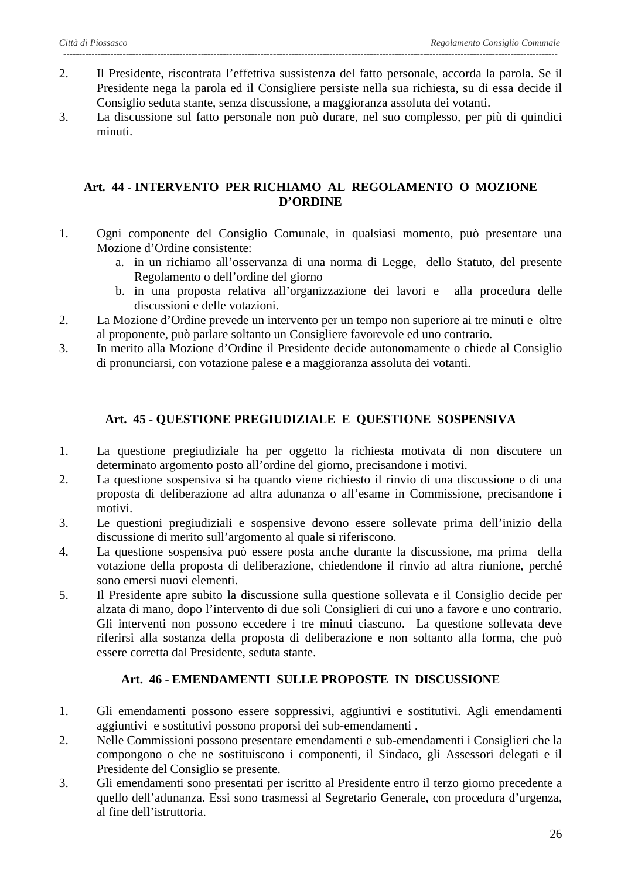2. Il Presidente, riscontrata l'effettiva sussistenza del fatto personale, accorda la parola. Se il Presidente nega la parola ed il Consigliere persiste nella sua richiesta, su di essa decide il Consiglio seduta stante, senza discussione, a maggioranza assoluta dei votanti.

*--------------------------------------------------------------------------------------------------------------------------------------------------------------*

3. La discussione sul fatto personale non può durare, nel suo complesso, per più di quindici minuti.

#### **Art. 44 - INTERVENTO PER RICHIAMO AL REGOLAMENTO O MOZIONE D'ORDINE**

- 1. Ogni componente del Consiglio Comunale, in qualsiasi momento, può presentare una Mozione d'Ordine consistente:
	- a. in un richiamo all'osservanza di una norma di Legge, dello Statuto, del presente Regolamento o dell'ordine del giorno
	- b. in una proposta relativa all'organizzazione dei lavori e alla procedura delle discussioni e delle votazioni.
- 2. La Mozione d'Ordine prevede un intervento per un tempo non superiore ai tre minuti e oltre al proponente, può parlare soltanto un Consigliere favorevole ed uno contrario.
- 3. In merito alla Mozione d'Ordine il Presidente decide autonomamente o chiede al Consiglio di pronunciarsi, con votazione palese e a maggioranza assoluta dei votanti.

#### **Art. 45 - QUESTIONE PREGIUDIZIALE E QUESTIONE SOSPENSIVA**

- 1. La questione pregiudiziale ha per oggetto la richiesta motivata di non discutere un determinato argomento posto all'ordine del giorno, precisandone i motivi.
- 2. La questione sospensiva si ha quando viene richiesto il rinvio di una discussione o di una proposta di deliberazione ad altra adunanza o all'esame in Commissione, precisandone i motivi.
- 3. Le questioni pregiudiziali e sospensive devono essere sollevate prima dell'inizio della discussione di merito sull'argomento al quale si riferiscono.
- 4. La questione sospensiva può essere posta anche durante la discussione, ma prima della votazione della proposta di deliberazione, chiedendone il rinvio ad altra riunione, perché sono emersi nuovi elementi.
- 5. Il Presidente apre subito la discussione sulla questione sollevata e il Consiglio decide per alzata di mano, dopo l'intervento di due soli Consiglieri di cui uno a favore e uno contrario. Gli interventi non possono eccedere i tre minuti ciascuno. La questione sollevata deve riferirsi alla sostanza della proposta di deliberazione e non soltanto alla forma, che può essere corretta dal Presidente, seduta stante.

#### **Art. 46 - EMENDAMENTI SULLE PROPOSTE IN DISCUSSIONE**

- 1. Gli emendamenti possono essere soppressivi, aggiuntivi e sostitutivi. Agli emendamenti aggiuntivi e sostitutivi possono proporsi dei sub-emendamenti .
- 2. Nelle Commissioni possono presentare emendamenti e sub-emendamenti i Consiglieri che la compongono o che ne sostituiscono i componenti, il Sindaco, gli Assessori delegati e il Presidente del Consiglio se presente.
- 3. Gli emendamenti sono presentati per iscritto al Presidente entro il terzo giorno precedente a quello dell'adunanza. Essi sono trasmessi al Segretario Generale, con procedura d'urgenza, al fine dell'istruttoria.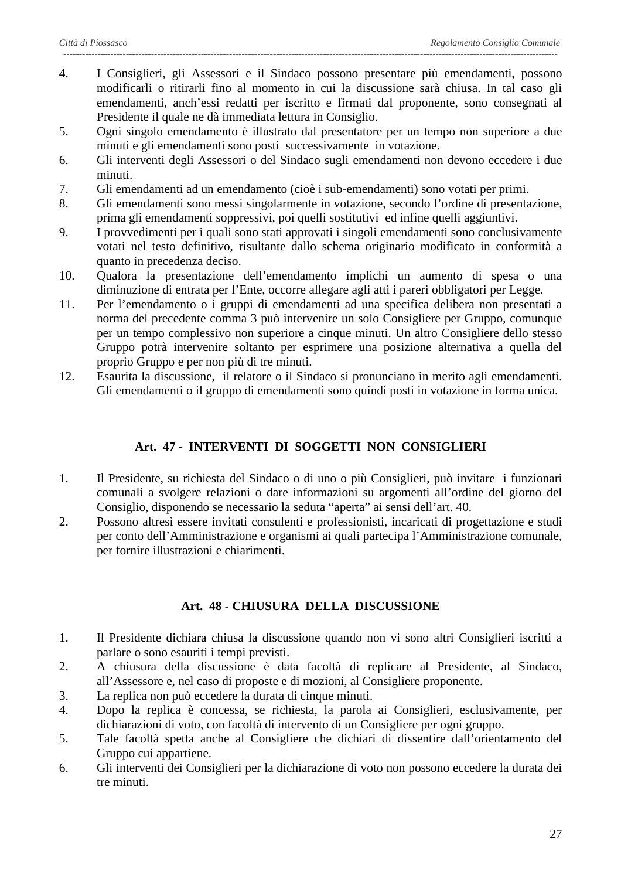4. I Consiglieri, gli Assessori e il Sindaco possono presentare più emendamenti, possono modificarli o ritirarli fino al momento in cui la discussione sarà chiusa. In tal caso gli emendamenti, anch'essi redatti per iscritto e firmati dal proponente, sono consegnati al Presidente il quale ne dà immediata lettura in Consiglio.

*--------------------------------------------------------------------------------------------------------------------------------------------------------------*

- 5. Ogni singolo emendamento è illustrato dal presentatore per un tempo non superiore a due minuti e gli emendamenti sono posti successivamente in votazione.
- 6. Gli interventi degli Assessori o del Sindaco sugli emendamenti non devono eccedere i due minuti.
- 7. Gli emendamenti ad un emendamento (cioè i sub-emendamenti) sono votati per primi.
- 8. Gli emendamenti sono messi singolarmente in votazione, secondo l'ordine di presentazione, prima gli emendamenti soppressivi, poi quelli sostitutivi ed infine quelli aggiuntivi.
- 9. I provvedimenti per i quali sono stati approvati i singoli emendamenti sono conclusivamente votati nel testo definitivo, risultante dallo schema originario modificato in conformità a quanto in precedenza deciso.
- 10. Qualora la presentazione dell'emendamento implichi un aumento di spesa o una diminuzione di entrata per l'Ente, occorre allegare agli atti i pareri obbligatori per Legge.
- 11. Per l'emendamento o i gruppi di emendamenti ad una specifica delibera non presentati a norma del precedente comma 3 può intervenire un solo Consigliere per Gruppo, comunque per un tempo complessivo non superiore a cinque minuti. Un altro Consigliere dello stesso Gruppo potrà intervenire soltanto per esprimere una posizione alternativa a quella del proprio Gruppo e per non più di tre minuti.
- 12. Esaurita la discussione, il relatore o il Sindaco si pronunciano in merito agli emendamenti. Gli emendamenti o il gruppo di emendamenti sono quindi posti in votazione in forma unica.

#### **Art. 47 - INTERVENTI DI SOGGETTI NON CONSIGLIERI**

- 1. Il Presidente, su richiesta del Sindaco o di uno o più Consiglieri, può invitare i funzionari comunali a svolgere relazioni o dare informazioni su argomenti all'ordine del giorno del Consiglio, disponendo se necessario la seduta "aperta" ai sensi dell'art. 40.
- 2. Possono altresì essere invitati consulenti e professionisti, incaricati di progettazione e studi per conto dell'Amministrazione e organismi ai quali partecipa l'Amministrazione comunale, per fornire illustrazioni e chiarimenti.

#### **Art. 48 - CHIUSURA DELLA DISCUSSIONE**

- 1. Il Presidente dichiara chiusa la discussione quando non vi sono altri Consiglieri iscritti a parlare o sono esauriti i tempi previsti.
- 2. A chiusura della discussione è data facoltà di replicare al Presidente, al Sindaco, all'Assessore e, nel caso di proposte e di mozioni, al Consigliere proponente.
- 3. La replica non può eccedere la durata di cinque minuti.
- 4. Dopo la replica è concessa, se richiesta, la parola ai Consiglieri, esclusivamente, per dichiarazioni di voto, con facoltà di intervento di un Consigliere per ogni gruppo.
- 5. Tale facoltà spetta anche al Consigliere che dichiari di dissentire dall'orientamento del Gruppo cui appartiene.
- 6. Gli interventi dei Consiglieri per la dichiarazione di voto non possono eccedere la durata dei tre minuti.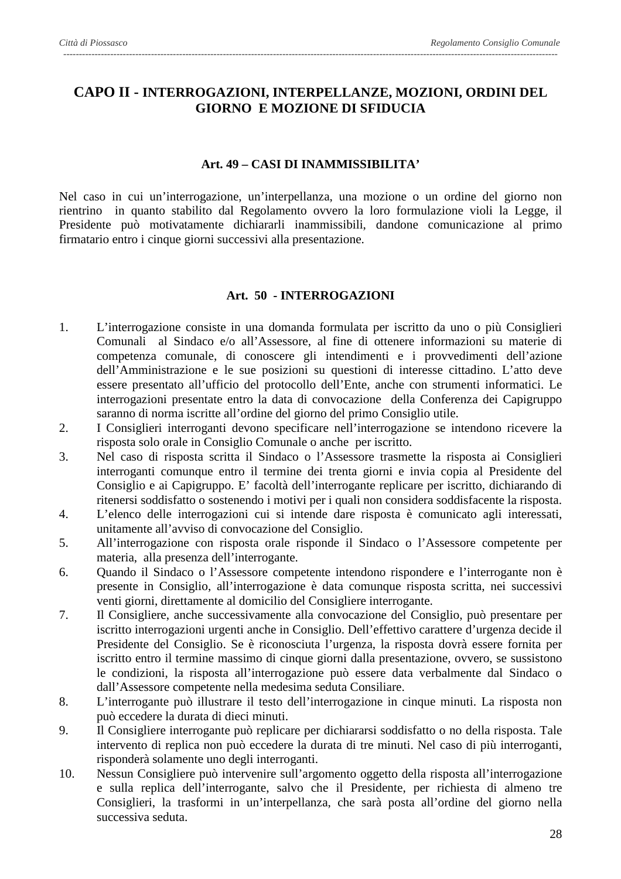# **CAPO II - INTERROGAZIONI, INTERPELLANZE, MOZIONI, ORDINI DEL GIORNO E MOZIONE DI SFIDUCIA**

*--------------------------------------------------------------------------------------------------------------------------------------------------------------*

#### **Art. 49 – CASI DI INAMMISSIBILITA'**

Nel caso in cui un'interrogazione, un'interpellanza, una mozione o un ordine del giorno non rientrino in quanto stabilito dal Regolamento ovvero la loro formulazione violi la Legge, il Presidente può motivatamente dichiararli inammissibili, dandone comunicazione al primo firmatario entro i cinque giorni successivi alla presentazione.

#### **Art. 50 - INTERROGAZIONI**

- 1. L'interrogazione consiste in una domanda formulata per iscritto da uno o più Consiglieri Comunali al Sindaco e/o all'Assessore, al fine di ottenere informazioni su materie di competenza comunale, di conoscere gli intendimenti e i provvedimenti dell'azione dell'Amministrazione e le sue posizioni su questioni di interesse cittadino. L'atto deve essere presentato all'ufficio del protocollo dell'Ente, anche con strumenti informatici. Le interrogazioni presentate entro la data di convocazione della Conferenza dei Capigruppo saranno di norma iscritte all'ordine del giorno del primo Consiglio utile.
- 2. I Consiglieri interroganti devono specificare nell'interrogazione se intendono ricevere la risposta solo orale in Consiglio Comunale o anche per iscritto.
- 3. Nel caso di risposta scritta il Sindaco o l'Assessore trasmette la risposta ai Consiglieri interroganti comunque entro il termine dei trenta giorni e invia copia al Presidente del Consiglio e ai Capigruppo. E' facoltà dell'interrogante replicare per iscritto, dichiarando di ritenersi soddisfatto o sostenendo i motivi per i quali non considera soddisfacente la risposta.
- 4. L'elenco delle interrogazioni cui si intende dare risposta è comunicato agli interessati, unitamente all'avviso di convocazione del Consiglio.
- 5. All'interrogazione con risposta orale risponde il Sindaco o l'Assessore competente per materia, alla presenza dell'interrogante.
- 6. Quando il Sindaco o l'Assessore competente intendono rispondere e l'interrogante non è presente in Consiglio, all'interrogazione è data comunque risposta scritta, nei successivi venti giorni, direttamente al domicilio del Consigliere interrogante.
- 7. Il Consigliere, anche successivamente alla convocazione del Consiglio, può presentare per iscritto interrogazioni urgenti anche in Consiglio. Dell'effettivo carattere d'urgenza decide il Presidente del Consiglio. Se è riconosciuta l'urgenza, la risposta dovrà essere fornita per iscritto entro il termine massimo di cinque giorni dalla presentazione, ovvero, se sussistono le condizioni, la risposta all'interrogazione può essere data verbalmente dal Sindaco o dall'Assessore competente nella medesima seduta Consiliare.
- 8. L'interrogante può illustrare il testo dell'interrogazione in cinque minuti. La risposta non può eccedere la durata di dieci minuti.
- 9. Il Consigliere interrogante può replicare per dichiararsi soddisfatto o no della risposta. Tale intervento di replica non può eccedere la durata di tre minuti. Nel caso di più interroganti, risponderà solamente uno degli interroganti.
- 10. Nessun Consigliere può intervenire sull'argomento oggetto della risposta all'interrogazione e sulla replica dell'interrogante, salvo che il Presidente, per richiesta di almeno tre Consiglieri, la trasformi in un'interpellanza, che sarà posta all'ordine del giorno nella successiva seduta.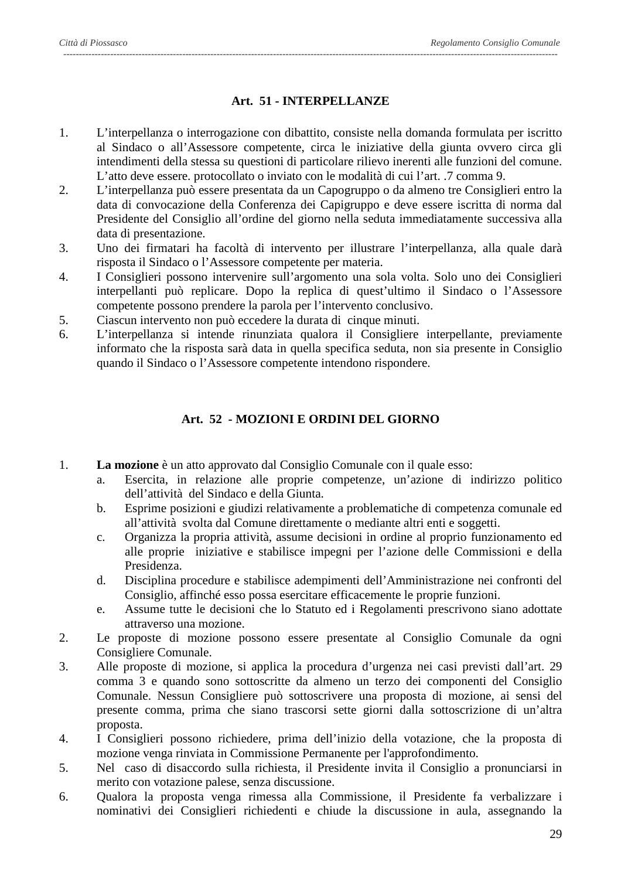### **Art. 51 - INTERPELLANZE**

*--------------------------------------------------------------------------------------------------------------------------------------------------------------*

- 1. L'interpellanza o interrogazione con dibattito, consiste nella domanda formulata per iscritto al Sindaco o all'Assessore competente, circa le iniziative della giunta ovvero circa gli intendimenti della stessa su questioni di particolare rilievo inerenti alle funzioni del comune. L'atto deve essere. protocollato o inviato con le modalità di cui l'art. .7 comma 9.
- 2. L'interpellanza può essere presentata da un Capogruppo o da almeno tre Consiglieri entro la data di convocazione della Conferenza dei Capigruppo e deve essere iscritta di norma dal Presidente del Consiglio all'ordine del giorno nella seduta immediatamente successiva alla data di presentazione.
- 3. Uno dei firmatari ha facoltà di intervento per illustrare l'interpellanza, alla quale darà risposta il Sindaco o l'Assessore competente per materia.
- 4. I Consiglieri possono intervenire sull'argomento una sola volta. Solo uno dei Consiglieri interpellanti può replicare. Dopo la replica di quest'ultimo il Sindaco o l'Assessore competente possono prendere la parola per l'intervento conclusivo.
- 5. Ciascun intervento non può eccedere la durata di cinque minuti.
- 6. L'interpellanza si intende rinunziata qualora il Consigliere interpellante, previamente informato che la risposta sarà data in quella specifica seduta, non sia presente in Consiglio quando il Sindaco o l'Assessore competente intendono rispondere.

#### **Art. 52 - MOZIONI E ORDINI DEL GIORNO**

- 1. **La mozione** è un atto approvato dal Consiglio Comunale con il quale esso:
	- a. Esercita, in relazione alle proprie competenze, un'azione di indirizzo politico dell'attività del Sindaco e della Giunta.
	- b. Esprime posizioni e giudizi relativamente a problematiche di competenza comunale ed all'attività svolta dal Comune direttamente o mediante altri enti e soggetti.
	- c. Organizza la propria attività, assume decisioni in ordine al proprio funzionamento ed alle proprie iniziative e stabilisce impegni per l'azione delle Commissioni e della Presidenza.
	- d. Disciplina procedure e stabilisce adempimenti dell'Amministrazione nei confronti del Consiglio, affinché esso possa esercitare efficacemente le proprie funzioni.
	- e. Assume tutte le decisioni che lo Statuto ed i Regolamenti prescrivono siano adottate attraverso una mozione.
- 2. Le proposte di mozione possono essere presentate al Consiglio Comunale da ogni Consigliere Comunale.
- 3. Alle proposte di mozione, si applica la procedura d'urgenza nei casi previsti dall'art. 29 comma 3 e quando sono sottoscritte da almeno un terzo dei componenti del Consiglio Comunale. Nessun Consigliere può sottoscrivere una proposta di mozione, ai sensi del presente comma, prima che siano trascorsi sette giorni dalla sottoscrizione di un'altra proposta.
- 4. I Consiglieri possono richiedere, prima dell'inizio della votazione, che la proposta di mozione venga rinviata in Commissione Permanente per l'approfondimento.
- 5. Nel caso di disaccordo sulla richiesta, il Presidente invita il Consiglio a pronunciarsi in merito con votazione palese, senza discussione.
- 6. Qualora la proposta venga rimessa alla Commissione, il Presidente fa verbalizzare i nominativi dei Consiglieri richiedenti e chiude la discussione in aula, assegnando la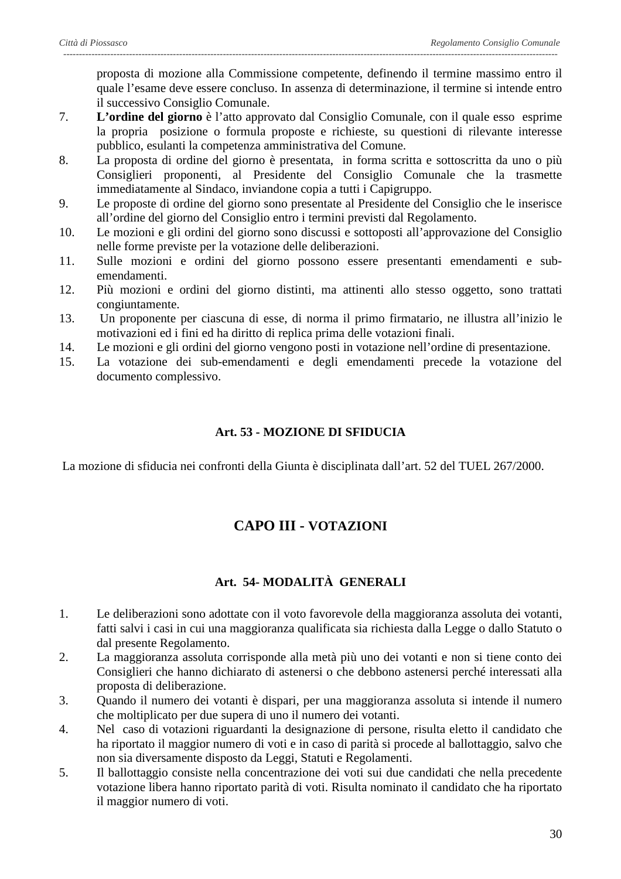proposta di mozione alla Commissione competente, definendo il termine massimo entro il quale l'esame deve essere concluso. In assenza di determinazione, il termine si intende entro il successivo Consiglio Comunale.

7. **L'ordine del giorno** è l'atto approvato dal Consiglio Comunale, con il quale esso esprime la propria posizione o formula proposte e richieste, su questioni di rilevante interesse pubblico, esulanti la competenza amministrativa del Comune.

*--------------------------------------------------------------------------------------------------------------------------------------------------------------*

- 8. La proposta di ordine del giorno è presentata, in forma scritta e sottoscritta da uno o più Consiglieri proponenti, al Presidente del Consiglio Comunale che la trasmette immediatamente al Sindaco, inviandone copia a tutti i Capigruppo.
- 9. Le proposte di ordine del giorno sono presentate al Presidente del Consiglio che le inserisce all'ordine del giorno del Consiglio entro i termini previsti dal Regolamento.
- 10. Le mozioni e gli ordini del giorno sono discussi e sottoposti all'approvazione del Consiglio nelle forme previste per la votazione delle deliberazioni.
- 11. Sulle mozioni e ordini del giorno possono essere presentanti emendamenti e subemendamenti.
- 12. Più mozioni e ordini del giorno distinti, ma attinenti allo stesso oggetto, sono trattati congiuntamente.
- 13. Un proponente per ciascuna di esse, di norma il primo firmatario, ne illustra all'inizio le motivazioni ed i fini ed ha diritto di replica prima delle votazioni finali.
- 14. Le mozioni e gli ordini del giorno vengono posti in votazione nell'ordine di presentazione.
- 15. La votazione dei sub-emendamenti e degli emendamenti precede la votazione del documento complessivo.

#### **Art. 53 - MOZIONE DI SFIDUCIA**

La mozione di sfiducia nei confronti della Giunta è disciplinata dall'art. 52 del TUEL 267/2000.

# **CAPO III - VOTAZIONI**

#### **Art. 54- MODALITÀ GENERALI**

- 1. Le deliberazioni sono adottate con il voto favorevole della maggioranza assoluta dei votanti, fatti salvi i casi in cui una maggioranza qualificata sia richiesta dalla Legge o dallo Statuto o dal presente Regolamento.
- 2. La maggioranza assoluta corrisponde alla metà più uno dei votanti e non si tiene conto dei Consiglieri che hanno dichiarato di astenersi o che debbono astenersi perché interessati alla proposta di deliberazione.
- 3. Quando il numero dei votanti è dispari, per una maggioranza assoluta si intende il numero che moltiplicato per due supera di uno il numero dei votanti.
- 4. Nel caso di votazioni riguardanti la designazione di persone, risulta eletto il candidato che ha riportato il maggior numero di voti e in caso di parità si procede al ballottaggio, salvo che non sia diversamente disposto da Leggi, Statuti e Regolamenti.
- 5. Il ballottaggio consiste nella concentrazione dei voti sui due candidati che nella precedente votazione libera hanno riportato parità di voti. Risulta nominato il candidato che ha riportato il maggior numero di voti.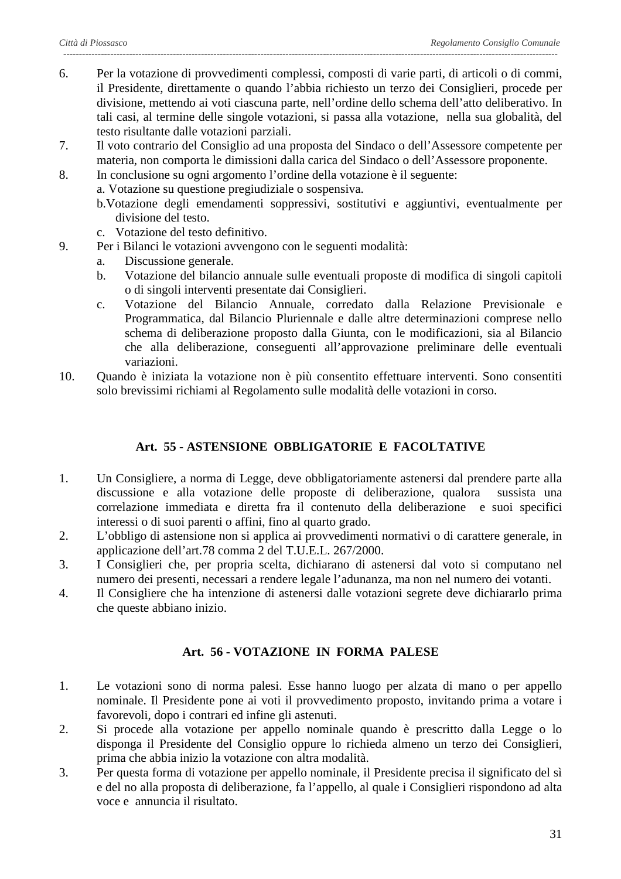6. Per la votazione di provvedimenti complessi, composti di varie parti, di articoli o di commi, il Presidente, direttamente o quando l'abbia richiesto un terzo dei Consiglieri, procede per divisione, mettendo ai voti ciascuna parte, nell'ordine dello schema dell'atto deliberativo. In tali casi, al termine delle singole votazioni, si passa alla votazione, nella sua globalità, del testo risultante dalle votazioni parziali.

*--------------------------------------------------------------------------------------------------------------------------------------------------------------*

- 7. Il voto contrario del Consiglio ad una proposta del Sindaco o dell'Assessore competente per materia, non comporta le dimissioni dalla carica del Sindaco o dell'Assessore proponente.
- 8. In conclusione su ogni argomento l'ordine della votazione è il seguente:
	- a. Votazione su questione pregiudiziale o sospensiva.
	- b.Votazione degli emendamenti soppressivi, sostitutivi e aggiuntivi, eventualmente per divisione del testo.
	- c. Votazione del testo definitivo.
- 9. Per i Bilanci le votazioni avvengono con le seguenti modalità:
	- a. Discussione generale.
	- b. Votazione del bilancio annuale sulle eventuali proposte di modifica di singoli capitoli o di singoli interventi presentate dai Consiglieri.
	- c. Votazione del Bilancio Annuale, corredato dalla Relazione Previsionale e Programmatica, dal Bilancio Pluriennale e dalle altre determinazioni comprese nello schema di deliberazione proposto dalla Giunta, con le modificazioni, sia al Bilancio che alla deliberazione, conseguenti all'approvazione preliminare delle eventuali variazioni.
- 10. Quando è iniziata la votazione non è più consentito effettuare interventi. Sono consentiti solo brevissimi richiami al Regolamento sulle modalità delle votazioni in corso.

#### **Art. 55 - ASTENSIONE OBBLIGATORIE E FACOLTATIVE**

- 1. Un Consigliere, a norma di Legge, deve obbligatoriamente astenersi dal prendere parte alla discussione e alla votazione delle proposte di deliberazione, qualora sussista una correlazione immediata e diretta fra il contenuto della deliberazione e suoi specifici interessi o di suoi parenti o affini, fino al quarto grado.
- 2. L'obbligo di astensione non si applica ai provvedimenti normativi o di carattere generale, in applicazione dell'art.78 comma 2 del T.U.E.L. 267/2000.
- 3. I Consiglieri che, per propria scelta, dichiarano di astenersi dal voto si computano nel numero dei presenti, necessari a rendere legale l'adunanza, ma non nel numero dei votanti.
- 4. Il Consigliere che ha intenzione di astenersi dalle votazioni segrete deve dichiararlo prima che queste abbiano inizio.

#### **Art. 56 - VOTAZIONE IN FORMA PALESE**

- 1. Le votazioni sono di norma palesi. Esse hanno luogo per alzata di mano o per appello nominale. Il Presidente pone ai voti il provvedimento proposto, invitando prima a votare i favorevoli, dopo i contrari ed infine gli astenuti.
- 2. Si procede alla votazione per appello nominale quando è prescritto dalla Legge o lo disponga il Presidente del Consiglio oppure lo richieda almeno un terzo dei Consiglieri, prima che abbia inizio la votazione con altra modalità.
- 3. Per questa forma di votazione per appello nominale, il Presidente precisa il significato del sì e del no alla proposta di deliberazione, fa l'appello, al quale i Consiglieri rispondono ad alta voce e annuncia il risultato.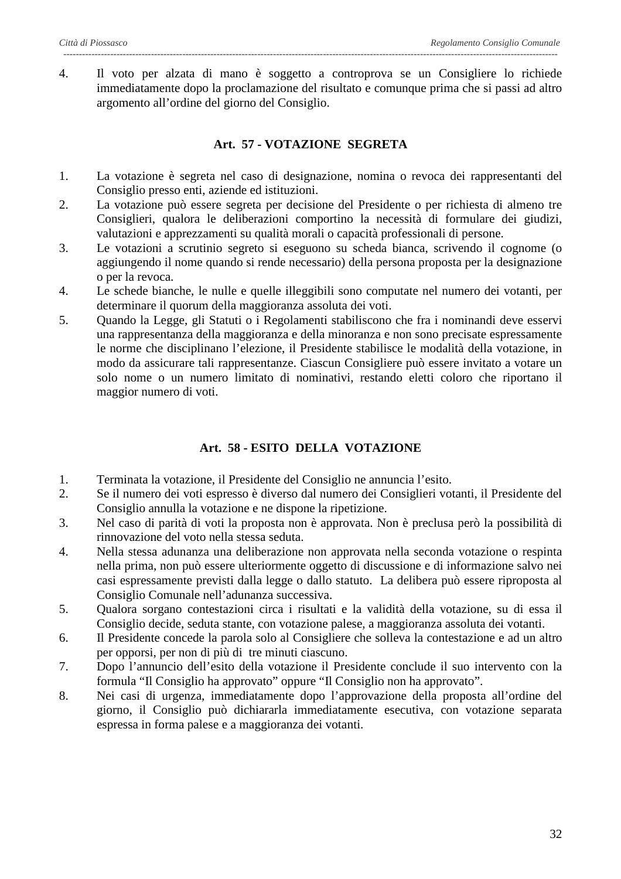4. Il voto per alzata di mano è soggetto a controprova se un Consigliere lo richiede immediatamente dopo la proclamazione del risultato e comunque prima che si passi ad altro argomento all'ordine del giorno del Consiglio.

*--------------------------------------------------------------------------------------------------------------------------------------------------------------*

#### **Art. 57 - VOTAZIONE SEGRETA**

- 1. La votazione è segreta nel caso di designazione, nomina o revoca dei rappresentanti del Consiglio presso enti, aziende ed istituzioni.
- 2. La votazione può essere segreta per decisione del Presidente o per richiesta di almeno tre Consiglieri, qualora le deliberazioni comportino la necessità di formulare dei giudizi, valutazioni e apprezzamenti su qualità morali o capacità professionali di persone.
- 3. Le votazioni a scrutinio segreto si eseguono su scheda bianca, scrivendo il cognome (o aggiungendo il nome quando si rende necessario) della persona proposta per la designazione o per la revoca.
- 4. Le schede bianche, le nulle e quelle illeggibili sono computate nel numero dei votanti, per determinare il quorum della maggioranza assoluta dei voti.
- 5. Quando la Legge, gli Statuti o i Regolamenti stabiliscono che fra i nominandi deve esservi una rappresentanza della maggioranza e della minoranza e non sono precisate espressamente le norme che disciplinano l'elezione, il Presidente stabilisce le modalità della votazione, in modo da assicurare tali rappresentanze. Ciascun Consigliere può essere invitato a votare un solo nome o un numero limitato di nominativi, restando eletti coloro che riportano il maggior numero di voti.

#### **Art. 58 - ESITO DELLA VOTAZIONE**

- 1. Terminata la votazione, il Presidente del Consiglio ne annuncia l'esito.
- 2. Se il numero dei voti espresso è diverso dal numero dei Consiglieri votanti, il Presidente del Consiglio annulla la votazione e ne dispone la ripetizione.
- 3. Nel caso di parità di voti la proposta non è approvata. Non è preclusa però la possibilità di rinnovazione del voto nella stessa seduta.
- 4. Nella stessa adunanza una deliberazione non approvata nella seconda votazione o respinta nella prima, non può essere ulteriormente oggetto di discussione e di informazione salvo nei casi espressamente previsti dalla legge o dallo statuto. La delibera può essere riproposta al Consiglio Comunale nell'adunanza successiva.
- 5. Qualora sorgano contestazioni circa i risultati e la validità della votazione, su di essa il Consiglio decide, seduta stante, con votazione palese, a maggioranza assoluta dei votanti.
- 6. Il Presidente concede la parola solo al Consigliere che solleva la contestazione e ad un altro per opporsi, per non di più di tre minuti ciascuno.
- 7. Dopo l'annuncio dell'esito della votazione il Presidente conclude il suo intervento con la formula "Il Consiglio ha approvato" oppure "Il Consiglio non ha approvato".
- 8. Nei casi di urgenza, immediatamente dopo l'approvazione della proposta all'ordine del giorno, il Consiglio può dichiararla immediatamente esecutiva, con votazione separata espressa in forma palese e a maggioranza dei votanti.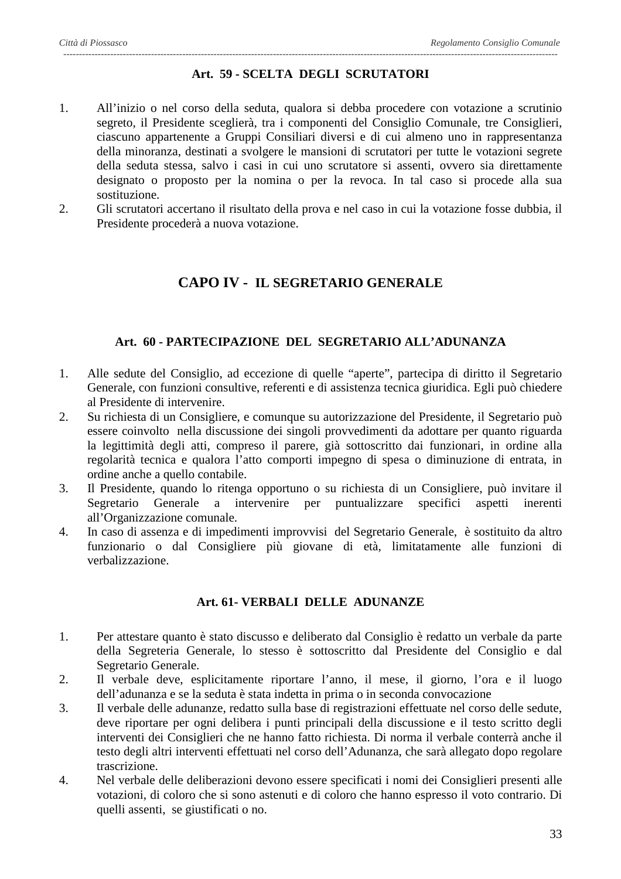# *--------------------------------------------------------------------------------------------------------------------------------------------------------------* **Art. 59 - SCELTA DEGLI SCRUTATORI**

- 1. All'inizio o nel corso della seduta, qualora si debba procedere con votazione a scrutinio segreto, il Presidente sceglierà, tra i componenti del Consiglio Comunale, tre Consiglieri, ciascuno appartenente a Gruppi Consiliari diversi e di cui almeno uno in rappresentanza della minoranza, destinati a svolgere le mansioni di scrutatori per tutte le votazioni segrete della seduta stessa, salvo i casi in cui uno scrutatore si assenti, ovvero sia direttamente designato o proposto per la nomina o per la revoca. In tal caso si procede alla sua sostituzione.
- 2. Gli scrutatori accertano il risultato della prova e nel caso in cui la votazione fosse dubbia, il Presidente procederà a nuova votazione.

# **CAPO IV - IL SEGRETARIO GENERALE**

#### **Art. 60 - PARTECIPAZIONE DEL SEGRETARIO ALL'ADUNANZA**

- 1. Alle sedute del Consiglio, ad eccezione di quelle "aperte", partecipa di diritto il Segretario Generale, con funzioni consultive, referenti e di assistenza tecnica giuridica. Egli può chiedere al Presidente di intervenire.
- 2. Su richiesta di un Consigliere, e comunque su autorizzazione del Presidente, il Segretario può essere coinvolto nella discussione dei singoli provvedimenti da adottare per quanto riguarda la legittimità degli atti, compreso il parere, già sottoscritto dai funzionari, in ordine alla regolarità tecnica e qualora l'atto comporti impegno di spesa o diminuzione di entrata, in ordine anche a quello contabile.
- 3. Il Presidente, quando lo ritenga opportuno o su richiesta di un Consigliere, può invitare il Segretario Generale a intervenire per puntualizzare specifici aspetti inerenti all'Organizzazione comunale.
- 4. In caso di assenza e di impedimenti improvvisi del Segretario Generale, è sostituito da altro funzionario o dal Consigliere più giovane di età, limitatamente alle funzioni di verbalizzazione.

#### **Art. 61- VERBALI DELLE ADUNANZE**

- 1. Per attestare quanto è stato discusso e deliberato dal Consiglio è redatto un verbale da parte della Segreteria Generale, lo stesso è sottoscritto dal Presidente del Consiglio e dal Segretario Generale.
- 2. Il verbale deve, esplicitamente riportare l'anno, il mese, il giorno, l'ora e il luogo dell'adunanza e se la seduta è stata indetta in prima o in seconda convocazione
- 3. Il verbale delle adunanze, redatto sulla base di registrazioni effettuate nel corso delle sedute, deve riportare per ogni delibera i punti principali della discussione e il testo scritto degli interventi dei Consiglieri che ne hanno fatto richiesta. Di norma il verbale conterrà anche il testo degli altri interventi effettuati nel corso dell'Adunanza, che sarà allegato dopo regolare trascrizione.
- 4. Nel verbale delle deliberazioni devono essere specificati i nomi dei Consiglieri presenti alle votazioni, di coloro che si sono astenuti e di coloro che hanno espresso il voto contrario. Di quelli assenti, se giustificati o no.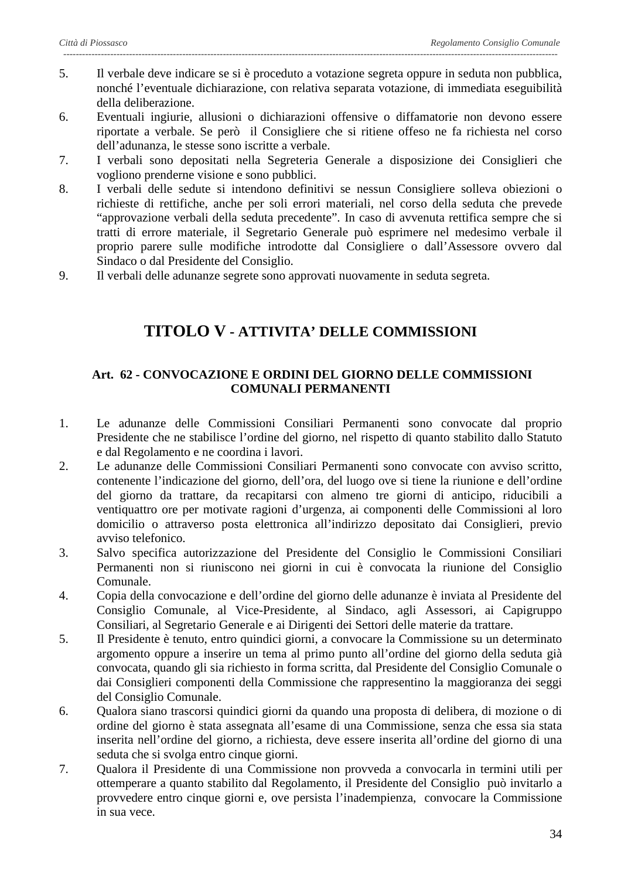5. Il verbale deve indicare se si è proceduto a votazione segreta oppure in seduta non pubblica, nonché l'eventuale dichiarazione, con relativa separata votazione, di immediata eseguibilità della deliberazione.

*--------------------------------------------------------------------------------------------------------------------------------------------------------------*

- 6. Eventuali ingiurie, allusioni o dichiarazioni offensive o diffamatorie non devono essere riportate a verbale. Se però il Consigliere che si ritiene offeso ne fa richiesta nel corso dell'adunanza, le stesse sono iscritte a verbale.
- 7. I verbali sono depositati nella Segreteria Generale a disposizione dei Consiglieri che vogliono prenderne visione e sono pubblici.
- 8. I verbali delle sedute si intendono definitivi se nessun Consigliere solleva obiezioni o richieste di rettifiche, anche per soli errori materiali, nel corso della seduta che prevede "approvazione verbali della seduta precedente". In caso di avvenuta rettifica sempre che si tratti di errore materiale, il Segretario Generale può esprimere nel medesimo verbale il proprio parere sulle modifiche introdotte dal Consigliere o dall'Assessore ovvero dal Sindaco o dal Presidente del Consiglio.
- 9. Il verbali delle adunanze segrete sono approvati nuovamente in seduta segreta.

# **TITOLO V - ATTIVITA' DELLE COMMISSIONI**

#### **Art. 62 - CONVOCAZIONE E ORDINI DEL GIORNO DELLE COMMISSIONI COMUNALI PERMANENTI**

- 1. Le adunanze delle Commissioni Consiliari Permanenti sono convocate dal proprio Presidente che ne stabilisce l'ordine del giorno, nel rispetto di quanto stabilito dallo Statuto e dal Regolamento e ne coordina i lavori.
- 2. Le adunanze delle Commissioni Consiliari Permanenti sono convocate con avviso scritto, contenente l'indicazione del giorno, dell'ora, del luogo ove si tiene la riunione e dell'ordine del giorno da trattare, da recapitarsi con almeno tre giorni di anticipo, riducibili a ventiquattro ore per motivate ragioni d'urgenza, ai componenti delle Commissioni al loro domicilio o attraverso posta elettronica all'indirizzo depositato dai Consiglieri, previo avviso telefonico.
- 3. Salvo specifica autorizzazione del Presidente del Consiglio le Commissioni Consiliari Permanenti non si riuniscono nei giorni in cui è convocata la riunione del Consiglio Comunale.
- 4. Copia della convocazione e dell'ordine del giorno delle adunanze è inviata al Presidente del Consiglio Comunale, al Vice-Presidente, al Sindaco, agli Assessori, ai Capigruppo Consiliari, al Segretario Generale e ai Dirigenti dei Settori delle materie da trattare.
- 5. Il Presidente è tenuto, entro quindici giorni, a convocare la Commissione su un determinato argomento oppure a inserire un tema al primo punto all'ordine del giorno della seduta già convocata, quando gli sia richiesto in forma scritta, dal Presidente del Consiglio Comunale o dai Consiglieri componenti della Commissione che rappresentino la maggioranza dei seggi del Consiglio Comunale.
- 6. Qualora siano trascorsi quindici giorni da quando una proposta di delibera, di mozione o di ordine del giorno è stata assegnata all'esame di una Commissione, senza che essa sia stata inserita nell'ordine del giorno, a richiesta, deve essere inserita all'ordine del giorno di una seduta che si svolga entro cinque giorni.
- 7. Qualora il Presidente di una Commissione non provveda a convocarla in termini utili per ottemperare a quanto stabilito dal Regolamento, il Presidente del Consiglio può invitarlo a provvedere entro cinque giorni e, ove persista l'inadempienza, convocare la Commissione in sua vece.